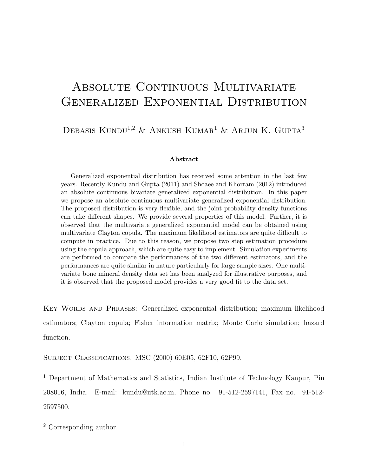# ABSOLUTE CONTINUOUS MULTIVARIATE Generalized Exponential Distribution

## DEBASIS KUNDU<sup>1,2</sup> & ANKUSH KUMAR<sup>1</sup> & ARJUN K. GUPTA<sup>3</sup>

#### Abstract

Generalized exponential distribution has received some attention in the last few years. Recently Kundu and Gupta (2011) and Shoaee and Khorram (2012) introduced an absolute continuous bivariate generalized exponential distribution. In this paper we propose an absolute continuous multivariate generalized exponential distribution. The proposed distribution is very flexible, and the joint probability density functions can take different shapes. We provide several properties of this model. Further, it is observed that the multivariate generalized exponential model can be obtained using multivariate Clayton copula. The maximum likelihood estimators are quite difficult to compute in practice. Due to this reason, we propose two step estimation procedure using the copula approach, which are quite easy to implement. Simulation experiments are performed to compare the performances of the two different estimators, and the performances are quite similar in nature particularly for large sample sizes. One multivariate bone mineral density data set has been analyzed for illustrative purposes, and it is observed that the proposed model provides a very good fit to the data set.

Key Words and Phrases: Generalized exponential distribution; maximum likelihood estimators; Clayton copula; Fisher information matrix; Monte Carlo simulation; hazard function.

Subject Classifications: MSC (2000) 60E05, 62F10, 62P99.

<sup>1</sup> Department of Mathematics and Statistics, Indian Institute of Technology Kanpur, Pin 208016, India. E-mail: kundu@iitk.ac.in, Phone no. 91-512-2597141, Fax no. 91-512- 2597500.

<sup>2</sup> Corresponding author.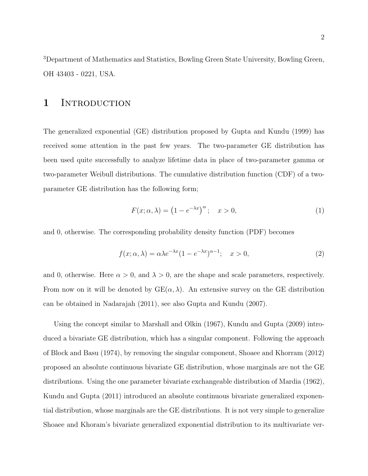<sup>3</sup>Department of Mathematics and Statistics, Bowling Green State University, Bowling Green, OH 43403 - 0221, USA.

### 1 INTRODUCTION

The generalized exponential (GE) distribution proposed by Gupta and Kundu (1999) has received some attention in the past few years. The two-parameter GE distribution has been used quite successfully to analyze lifetime data in place of two-parameter gamma or two-parameter Weibull distributions. The cumulative distribution function (CDF) of a twoparameter GE distribution has the following form;

$$
F(x; \alpha, \lambda) = (1 - e^{-\lambda x})^{\alpha}; \quad x > 0,
$$
\n(1)

and 0, otherwise. The corresponding probability density function (PDF) becomes

$$
f(x; \alpha, \lambda) = \alpha \lambda e^{-\lambda x} (1 - e^{-\lambda x})^{\alpha - 1}; \quad x > 0,
$$
\n<sup>(2)</sup>

and 0, otherwise. Here  $\alpha > 0$ , and  $\lambda > 0$ , are the shape and scale parameters, respectively. From now on it will be denoted by  $GE(\alpha, \lambda)$ . An extensive survey on the GE distribution can be obtained in Nadarajah (2011), see also Gupta and Kundu (2007).

Using the concept similar to Marshall and Olkin (1967), Kundu and Gupta (2009) introduced a bivariate GE distribution, which has a singular component. Following the approach of Block and Basu (1974), by removing the singular component, Shoaee and Khorram (2012) proposed an absolute continuous bivariate GE distribution, whose marginals are not the GE distributions. Using the one parameter bivariate exchangeable distribution of Mardia (1962), Kundu and Gupta (2011) introduced an absolute continuous bivariate generalized exponential distribution, whose marginals are the GE distributions. It is not very simple to generalize Shoaee and Khoram's bivariate generalized exponential distribution to its multivariate ver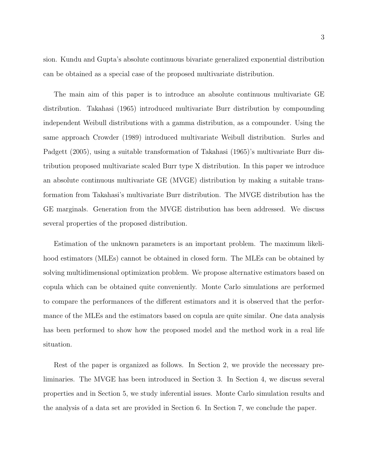sion. Kundu and Gupta's absolute continuous bivariate generalized exponential distribution can be obtained as a special case of the proposed multivariate distribution.

The main aim of this paper is to introduce an absolute continuous multivariate GE distribution. Takahasi (1965) introduced multivariate Burr distribution by compounding independent Weibull distributions with a gamma distribution, as a compounder. Using the same approach Crowder (1989) introduced multivariate Weibull distribution. Surles and Padgett (2005), using a suitable transformation of Takahasi (1965)'s multivariate Burr distribution proposed multivariate scaled Burr type X distribution. In this paper we introduce an absolute continuous multivariate GE (MVGE) distribution by making a suitable transformation from Takahasi's multivariate Burr distribution. The MVGE distribution has the GE marginals. Generation from the MVGE distribution has been addressed. We discuss several properties of the proposed distribution.

Estimation of the unknown parameters is an important problem. The maximum likelihood estimators (MLEs) cannot be obtained in closed form. The MLEs can be obtained by solving multidimensional optimization problem. We propose alternative estimators based on copula which can be obtained quite conveniently. Monte Carlo simulations are performed to compare the performances of the different estimators and it is observed that the performance of the MLEs and the estimators based on copula are quite similar. One data analysis has been performed to show how the proposed model and the method work in a real life situation.

Rest of the paper is organized as follows. In Section 2, we provide the necessary preliminaries. The MVGE has been introduced in Section 3. In Section 4, we discuss several properties and in Section 5, we study inferential issues. Monte Carlo simulation results and the analysis of a data set are provided in Section 6. In Section 7, we conclude the paper.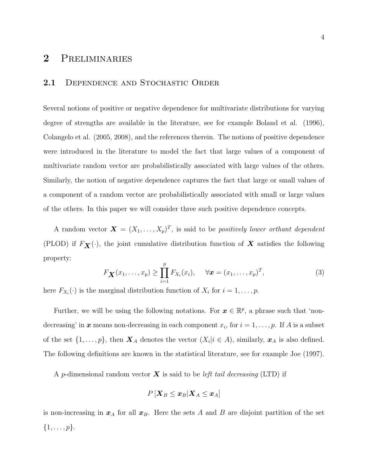## 2 Preliminaries

### 2.1 DEPENDENCE AND STOCHASTIC ORDER

Several notions of positive or negative dependence for multivariate distributions for varying degree of strengths are available in the literature, see for example Boland et al. (1996), Colangelo et al. (2005, 2008), and the references therein. The notions of positive dependence were introduced in the literature to model the fact that large values of a component of multivariate random vector are probabilistically associated with large values of the others. Similarly, the notion of negative dependence captures the fact that large or small values of a component of a random vector are probabilistically associated with small or large values of the others. In this paper we will consider three such positive dependence concepts.

A random vector  $\mathbf{X} = (X_1, \ldots, X_p)^T$ , is said to be *positively lower orthant dependent* (PLOD) if  $F_{\mathbf{X}}(\cdot)$ , the joint cumulative distribution function of  $\mathbf{X}$  satisfies the following property:

$$
F_{\mathbf{X}}(x_1,\ldots,x_p) \geq \prod_{i=1}^p F_{X_i}(x_i), \quad \forall \mathbf{x} = (x_1,\ldots,x_p)^T,
$$
\n(3)

here  $F_{X_i}(\cdot)$  is the marginal distribution function of  $X_i$  for  $i = 1, \ldots, p$ .

Further, we will be using the following notations. For  $x \in \mathbb{R}^p$ , a phrase such that 'nondecreasing' in  $x$  means non-decreasing in each component  $x_i$ , for  $i = 1, \ldots, p$ . If A is a subset of the set  $\{1,\ldots,p\}$ , then  $\boldsymbol{X}_A$  denotes the vector  $(X_i|i \in A)$ , similarly,  $\boldsymbol{x}_A$  is also defined. The following definitions are known in the statistical literature, see for example Joe (1997).

A p-dimensional random vector  $\boldsymbol{X}$  is said to be *left tail decreasing* (LTD) if

$$
P\left[\boldsymbol{X}_B \leq \boldsymbol{x}_B | \boldsymbol{X}_A \leq \boldsymbol{x}_A \right]
$$

is non-increasing in  $x_A$  for all  $x_B$ . Here the sets A and B are disjoint partition of the set  $\{1,\ldots,p\}.$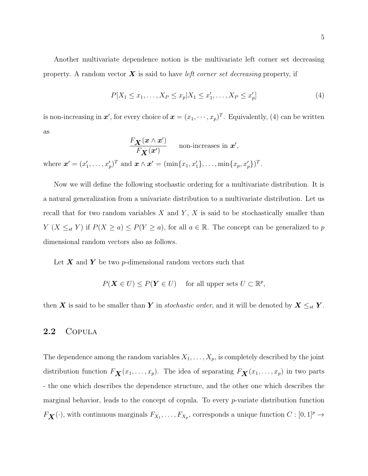Another multivariate dependence notion is the multivariate left corner set decreasing property. A random vector  $\boldsymbol{X}$  is said to have *left corner set decreasing* property, if

$$
P[X_1 \le x_1, \dots, X_P \le x_p | X_1 \le x'_1, \dots, X_P \le x'_p]
$$
\n(4)

is non-increasing in  $x'$ , for every choice of  $x = (x_1, \dots, x_p)^T$ . Equivalently, (4) can be written as

$$
\frac{F_{\mathbf{X}}(\mathbf{x} \wedge \mathbf{x}')}{F_{\mathbf{X}}(\mathbf{x}')} \quad \text{non-increases in } \mathbf{x}',
$$
  
where  $\mathbf{x}' = (x'_1, \dots, x'_p)^T$  and  $\mathbf{x} \wedge \mathbf{x}' = (\min\{x_1, x'_1\}, \dots, \min\{x_p, x'_p\})^T$ .

Now we will define the following stochastic ordering for a multivariate distribution. It is a natural generalization from a univariate distribution to a multivariate distribution. Let us recall that for two random variables  $X$  and  $Y$ ,  $X$  is said to be stochastically smaller than  $Y$  ( $X \leq_{st} Y$ ) if  $P(X \geq a) \leq P(Y \geq a)$ , for all  $a \in \mathbb{R}$ . The concept can be generalized to p dimensional random vectors also as follows.

Let  $X$  and  $Y$  be two p-dimensional random vectors such that

$$
P(\mathbf{X} \in U) \le P(\mathbf{Y} \in U) \quad \text{ for all upper sets } U \subset \mathbb{R}^p,
$$

then X is said to be smaller than Y in *stochastic order*, and it will be denoted by  $X \leq_{st} Y$ .

### 2.2 Copula

The dependence among the random variables  $X_1, \ldots, X_p$ , is completely described by the joint distribution function  $F_{\mathbf{X}}(x_1, \ldots, x_p)$ . The idea of separating  $F_{\mathbf{X}}(x_1, \ldots, x_p)$  in two parts - the one which describes the dependence structure, and the other one which describes the marginal behavior, leads to the concept of copula. To every  $p$ -variate distribution function  $F_{\mathbf{X}}(\cdot)$ , with continuous marginals  $F_{X_1}, \ldots, F_{X_p}$ , corresponds a unique function  $C : [0,1]^p \to$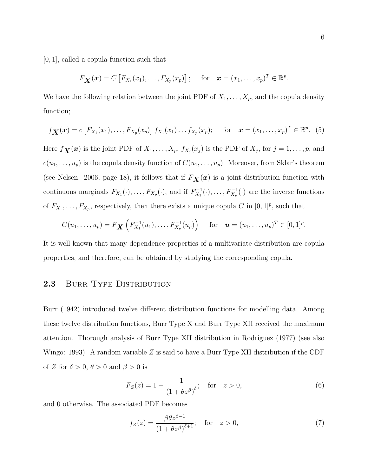[0, 1], called a copula function such that

$$
F_{\mathbf{X}}(\boldsymbol{x})=C\left[F_{X_1}(x_1),\ldots,F_{X_p}(x_p)\right]; \quad \text{for} \quad \boldsymbol{x}=(x_1,\ldots,x_p)^T\in\mathbb{R}^p.
$$

We have the following relation between the joint PDF of  $X_1, \ldots, X_p$ , and the copula density function;

$$
f_{\mathbf{X}}(\mathbf{x}) = c \left[ F_{X_1}(x_1), \ldots, F_{X_p}(x_p) \right] f_{X_1}(x_1) \ldots f_{X_p}(x_p); \quad \text{for} \quad \mathbf{x} = (x_1, \ldots, x_p)^T \in \mathbb{R}^p.
$$
 (5)

Here  $f_{\mathbf{X}}(x)$  is the joint PDF of  $X_1, \ldots, X_p, f_{X_j}(x_j)$  is the PDF of  $X_j$ , for  $j = 1, \ldots, p$ , and  $c(u_1, \ldots, u_p)$  is the copula density function of  $C(u_1, \ldots, u_p)$ . Moreover, from Sklar's theorem (see Nelsen: 2006, page 18), it follows that if  $F_{\mathbf{X}}(x)$  is a joint distribution function with continuous marginals  $F_{X_1}(\cdot), \ldots, F_{X_p}(\cdot)$ , and if  $F_{X_1}^{-1}$  $X_1^{-1}(\cdot), \ldots, F_{X_p}^{-1}(\cdot)$  are the inverse functions of  $F_{X_1}, \ldots, F_{X_p}$ , respectively, then there exists a unique copula C in  $[0, 1]^p$ , such that

$$
C(u_1,\ldots,u_p) = F_{\mathbf{X}}\left(F_{X_1}^{-1}(u_1),\ldots,F_{X_p}^{-1}(u_p)\right) \quad \text{ for } \quad \mathbf{u} = (u_1,\ldots,u_p)^T \in [0,1]^p.
$$

It is well known that many dependence properties of a multivariate distribution are copula properties, and therefore, can be obtained by studying the corresponding copula.

### 2.3 BURR TYPE DISTRIBUTION

Burr (1942) introduced twelve different distribution functions for modelling data. Among these twelve distribution functions, Burr Type X and Burr Type XII received the maximum attention. Thorough analysis of Burr Type XII distribution in Rodriguez (1977) (see also Wingo: 1993). A random variable  $Z$  is said to have a Burr Type XII distribution if the CDF of Z for  $\delta > 0$ ,  $\theta > 0$  and  $\beta > 0$  is

$$
F_Z(z) = 1 - \frac{1}{(1 + \theta z^{\beta})^{\delta}}; \quad \text{for} \quad z > 0,
$$
 (6)

and 0 otherwise. The associated PDF becomes

$$
f_Z(z) = \frac{\beta \theta z^{\beta - 1}}{\left(1 + \theta z^{\beta}\right)^{\delta + 1}}; \quad \text{for} \quad z > 0,
$$
\n<sup>(7)</sup>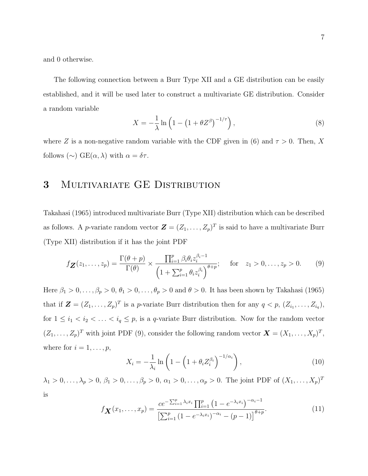and 0 otherwise.

The following connection between a Burr Type XII and a GE distribution can be easily established, and it will be used later to construct a multivariate GE distribution. Consider a random variable

$$
X = -\frac{1}{\lambda} \ln \left( 1 - \left( 1 + \theta Z^{\beta} \right)^{-1/\tau} \right),\tag{8}
$$

where Z is a non-negative random variable with the CDF given in (6) and  $\tau > 0$ . Then, X follows (∼) GE( $\alpha$ ,  $\lambda$ ) with  $\alpha = \delta \tau$ .

### 3 Multivariate GE Distribution

Takahasi (1965) introduced multivariate Burr (Type XII) distribution which can be described as follows. A *p*-variate random vector  $\mathbf{Z} = (Z_1, \ldots, Z_p)^T$  is said to have a multivariate Burr (Type XII) distribution if it has the joint PDF

$$
f_{\mathbf{Z}}(z_1,\ldots,z_p) = \frac{\Gamma(\theta + p)}{\Gamma(\theta)} \times \frac{\prod_{i=1}^p \beta_i \theta_i z_i^{\beta_i - 1}}{\left(1 + \sum_{i=1}^p \theta_i z_i^{\beta_i}\right)^{\theta + p}}; \quad \text{for} \quad z_1 > 0,\ldots,z_p > 0. \tag{9}
$$

Here  $\beta_1 > 0, \ldots, \beta_p > 0, \theta_1 > 0, \ldots, \theta_p > 0$  and  $\theta > 0$ . It has been shown by Takahasi (1965) that if  $\mathbf{Z} = (Z_1, \ldots, Z_p)^T$  is a p-variate Burr distribution then for any  $q < p$ ,  $(Z_{i_1}, \ldots, Z_{i_q})$ , for  $1 \leq i_1 < i_2 < \ldots < i_q \leq p$ , is a q-variate Burr distribution. Now for the random vector  $(Z_1, \ldots, Z_p)^T$  with joint PDF (9), consider the following random vector  $\mathbf{X} = (X_1, \ldots, X_p)^T$ , where for  $i = 1, \ldots, p$ ,

$$
X_i = -\frac{1}{\lambda_i} \ln \left( 1 - \left( 1 + \theta_i Z_i^{\beta_i} \right)^{-1/\alpha_i} \right),\tag{10}
$$

 $\lambda_1 > 0, \ldots, \lambda_p > 0, \, \beta_1 > 0, \ldots, \beta_p > 0, \, \alpha_1 > 0, \ldots, \alpha_p > 0.$  The joint PDF of  $(X_1, \ldots, X_p)^T$ is

$$
f_{\mathbf{X}}(x_1,\ldots,x_p) = \frac{ce^{-\sum_{i=1}^p \lambda_i x_i} \prod_{i=1}^p \left(1 - e^{-\lambda_i x_i}\right)^{-\alpha_i - 1}}{\left[\sum_{i=1}^p \left(1 - e^{-\lambda_i x_i}\right)^{-\alpha_i} - \left(p - 1\right)\right]^{\theta + p}}.
$$
\n(11)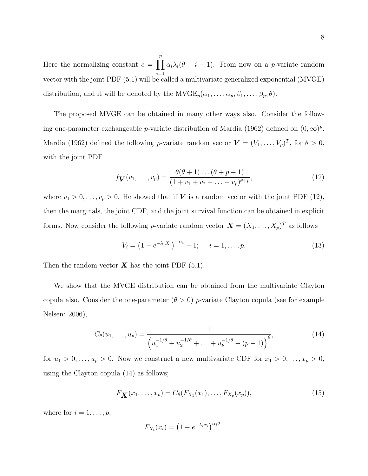Here the normalizing constant  $c = \prod$ p  $i=1$  $\alpha_i \lambda_i(\theta + i - 1)$ . From now on a *p*-variate random vector with the joint PDF (5.1) will be called a multivariate generalized exponential (MVGE) distribution, and it will be denoted by the  $MVGE_p(\alpha_1, \ldots, \alpha_p, \beta_1, \ldots, \beta_p, \theta)$ .

The proposed MVGE can be obtained in many other ways also. Consider the following one-parameter exchangeable p-variate distribution of Mardia (1962) defined on  $(0, \infty)^p$ . Mardia (1962) defined the following *p*-variate random vector  $\mathbf{V} = (V_1, \ldots, V_p)^T$ , for  $\theta > 0$ , with the joint PDF

$$
f_{\mathbf{V}}(v_1,\ldots,v_p) = \frac{\theta(\theta+1)\ldots(\theta+p-1)}{(1+v_1+v_2+\ldots+v_p)^{\theta+p}},
$$
\n(12)

where  $v_1 > 0, \ldots, v_p > 0$ . He showed that if  $V$  is a random vector with the joint PDF (12), then the marginals, the joint CDF, and the joint survival function can be obtained in explicit forms. Now consider the following *p*-variate random vector  $\mathbf{X} = (X_1, \ldots, X_p)^T$  as follows

$$
V_i = (1 - e^{-\lambda_i X_i})^{-\alpha_i} - 1; \quad i = 1, \dots, p.
$$
 (13)

Then the random vector  $\boldsymbol{X}$  has the joint PDF (5.1).

We show that the MVGE distribution can be obtained from the multivariate Clayton copula also. Consider the one-parameter  $(\theta > 0)$  *p*-variate Clayton copula (see for example Nelsen: 2006),

$$
C_{\theta}(u_1,\ldots,u_p) = \frac{1}{\left(u_1^{-1/\theta} + u_2^{-1/\theta} + \ldots + u_p^{-1/\theta} - (p-1)\right)^{\theta}},\tag{14}
$$

for  $u_1 > 0, \ldots, u_p > 0$ . Now we construct a new multivariate CDF for  $x_1 > 0, \ldots, x_p > 0$ , using the Clayton copula (14) as follows;

$$
F_{\mathbf{X}}(x_1,\ldots,x_p) = C_{\theta}(F_{X_1}(x_1),\ldots,F_{X_p}(x_p)),
$$
\n(15)

.

where for  $i = 1, \ldots, p$ ,

$$
F_{X_i}(x_i) = \left(1 - e^{-\lambda_i x_i}\right)^{\alpha_i \theta}
$$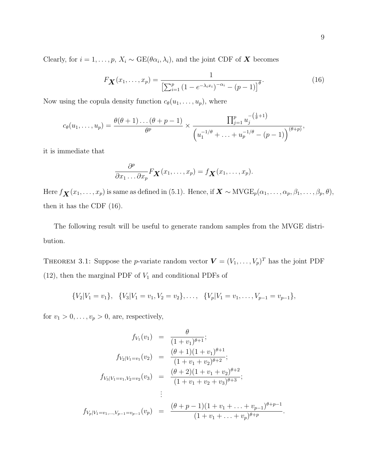Clearly, for  $i = 1, ..., p$ ,  $X_i \sim \text{GE}(\theta \alpha_i, \lambda_i)$ , and the joint CDF of **X** becomes

$$
F_{\mathbf{X}}(x_1,\ldots,x_p) = \frac{1}{\left[\sum_{i=1}^p (1 - e^{-\lambda_i x_i})^{-\alpha_i} - (p-1)\right]^{\theta}}.
$$
 (16)

Now using the copula density function  $c_{\theta}(u_1, \ldots, u_p)$ , where

$$
c_{\theta}(u_1,\ldots,u_p) = \frac{\theta(\theta+1)\ldots(\theta+p-1)}{\theta^p} \times \frac{\prod_{j=1}^p u_j^{-(\frac{1}{\theta}+1)}}{\left(u_1^{-1/\theta}+\ldots+u_p^{-1/\theta}-(p-1)\right)^{(\theta+p)}},
$$

it is immediate that

$$
\frac{\partial^p}{\partial x_1 \dots \partial x_p} F_{\mathbf{X}}(x_1, \dots, x_p) = f_{\mathbf{X}}(x_1, \dots, x_p).
$$

Here  $f_{\mathbf{X}}(x_1, \ldots, x_p)$  is same as defined in (5.1). Hence, if  $\mathbf{X} \sim MVGE_p(\alpha_1, \ldots, \alpha_p, \beta_1, \ldots, \beta_p, \theta)$ , then it has the CDF (16).

The following result will be useful to generate random samples from the MVGE distribution.

THEOREM 3.1: Suppose the *p*-variate random vector  $\mathbf{V} = (V_1, \ldots, V_p)^T$  has the joint PDF (12), then the marginal PDF of  $V_1$  and conditional PDFs of

$$
{V_2|V_1 = v_1}, \quad {V_3|V_1 = v_1, V_2 = v_2}, \dots, \quad {V_p|V_1 = v_1, \dots, V_{p-1} = v_{p-1}},
$$

for  $v_1 > 0, \ldots, v_p > 0$ , are, respectively,

$$
f_{V_1}(v_1) = \frac{\theta}{(1+v_1)^{\theta+1}};
$$
  
\n
$$
f_{V_2|V_1=v_1}(v_2) = \frac{(\theta+1)(1+v_1)^{\theta+1}}{(1+v_1+v_2)^{\theta+2}};
$$
  
\n
$$
f_{V_3|V_1=v_1,V_2=v_2}(v_3) = \frac{(\theta+2)(1+v_1+v_2)^{\theta+2}}{(1+v_1+v_2+v_3)^{\theta+3}};
$$
  
\n
$$
\vdots
$$
  
\n
$$
f_{V_p|V_1=v_1,\dots,V_{p-1}=v_{p-1}}(v_p) = \frac{(\theta+p-1)(1+v_1+\dots+v_{p-1})^{\theta+p-1}}{(1+v_1+\dots+v_p)^{\theta+p}}.
$$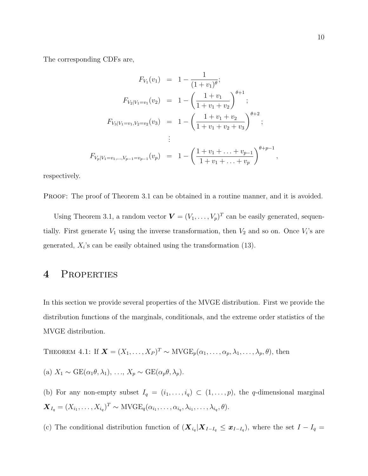The corresponding CDFs are,

$$
F_{V_1}(v_1) = 1 - \frac{1}{(1+v_1)^{\theta}};
$$
  
\n
$$
F_{V_2|V_1=v_1}(v_2) = 1 - \left(\frac{1+v_1}{1+v_1+v_2}\right)^{\theta+1};
$$
  
\n
$$
F_{V_3|V_1=v_1,V_2=v_2}(v_3) = 1 - \left(\frac{1+v_1+v_2}{1+v_1+v_2+v_3}\right)^{\theta+2};
$$
  
\n
$$
\vdots
$$
  
\n
$$
F_{V_p|V_1=v_1,\dots,V_{p-1}=v_{p-1}}(v_p) = 1 - \left(\frac{1+v_1+\dots+v_{p-1}}{1+v_1+\dots+v_p}\right)^{\theta+p-1},
$$

respectively.

PROOF: The proof of Theorem 3.1 can be obtained in a routine manner, and it is avoided.

Using Theorem 3.1, a random vector  $\mathbf{V} = (V_1, \ldots, V_p)^T$  can be easily generated, sequentially. First generate  $V_1$  using the inverse transformation, then  $V_2$  and so on. Once  $V_i$ 's are generated,  $X_i$ 's can be easily obtained using the transformation (13).

### 4 Properties

In this section we provide several properties of the MVGE distribution. First we provide the distribution functions of the marginals, conditionals, and the extreme order statistics of the MVGE distribution.

THEOREM 4.1: If  $\mathbf{X} = (X_1, \ldots, X_P)^T \sim \text{MVGE}_p(\alpha_1, \ldots, \alpha_p, \lambda_1, \ldots, \lambda_p, \theta)$ , then

(a) 
$$
X_1 \sim \text{GE}(\alpha_1 \theta, \lambda_1), \ldots, X_p \sim \text{GE}(\alpha_p \theta, \lambda_p).
$$

(b) For any non-empty subset  $I_q = (i_1, \ldots, i_q) \subset (1, \ldots, p)$ , the q-dimensional marginal  $\boldsymbol{X}_{I_q} = (X_{i_1}, \ldots, X_{i_q})^T \sim \text{MVGE}_q(\alpha_{i_1}, \ldots, \alpha_{i_q}, \lambda_{i_1}, \ldots, \lambda_{i_q}, \theta).$ 

(c) The conditional distribution function of  $(X_{i_q} | X_{I-I_q} \leq x_{I-I_q})$ , where the set  $I-I_q =$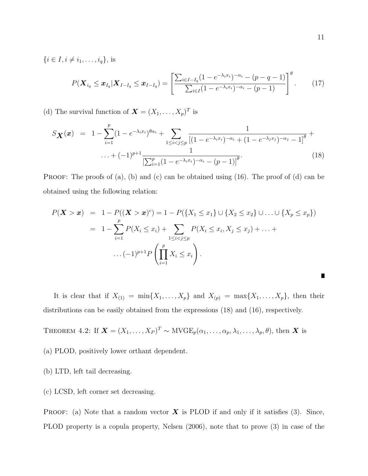$\{i \in I, i \neq i_1, \ldots, i_q\},\$  is

$$
P(\boldsymbol{X}_{i_q} \leq \boldsymbol{x}_{I_q} | \boldsymbol{X}_{I-I_q} \leq \boldsymbol{x}_{I-I_q}) = \left[ \frac{\sum_{i \in I-I_q} (1 - e^{-\lambda_i x_i})^{-\alpha_i} - (p - q - 1)}{\sum_{i \in I} (1 - e^{-\lambda_i x_i})^{-\alpha_i} - (p - 1)} \right]^{\theta}.
$$
 (17)

(d) The survival function of  $\mathbf{X} = (X_1, \ldots, X_p)^T$  is

$$
S_{\mathbf{X}}(\mathbf{x}) = 1 - \sum_{i=1}^{p} (1 - e^{-\lambda_i x_i})^{\theta \alpha_i} + \sum_{1 \le i < j \le p} \frac{1}{[(1 - e^{-\lambda_i x_i})^{-\alpha_i} + (1 - e^{-\lambda_j x_j})^{-\alpha_j} - 1]^{\theta}} + \dots + (-1)^{p+1} \frac{1}{\left[\sum_{i=1}^{p} (1 - e^{-\lambda_i x_i})^{-\alpha_i} - (p-1)\right]^{\theta}}.
$$
\n
$$
(18)
$$

**PROOF:** The proofs of  $(a)$ ,  $(b)$  and  $(c)$  can be obtained using  $(16)$ . The proof of  $(d)$  can be obtained using the following relation:

$$
P(\mathbf{X} > \mathbf{x}) = 1 - P((\mathbf{X} > \mathbf{x})^c) = 1 - P(\{X_1 \le x_1\} \cup \{X_2 \le x_2\} \cup ... \cup \{X_p \le x_p\})
$$
  
=  $1 - \sum_{i=1}^p P(X_i \le x_i) + \sum_{1 \le i < j \le p} P(X_i \le x_i, X_j \le x_j) + ... +$   
 $...(1)^{p+1} P\left(\prod_{i=1}^p X_i \le x_i\right).$ 

It is clear that if  $X_{(1)} = \min\{X_1, \ldots, X_p\}$  and  $X_{(p)} = \max\{X_1, \ldots, X_p\}$ , then their distributions can be easily obtained from the expressions (18) and (16), respectively.

THEOREM 4.2: If 
$$
\mathbf{X} = (X_1, \ldots, X_P)^T \sim \text{MVGE}_p(\alpha_1, \ldots, \alpha_p, \lambda_1, \ldots, \lambda_p, \theta)
$$
, then **X** is

- (a) PLOD, positively lower orthant dependent.
- (b) LTD, left tail decreasing.
- (c) LCSD, left corner set decreasing.

**PROOF:** (a) Note that a random vector  $\boldsymbol{X}$  is PLOD if and only if it satisfies (3). Since, PLOD property is a copula property, Nelsen (2006), note that to prove (3) in case of the

П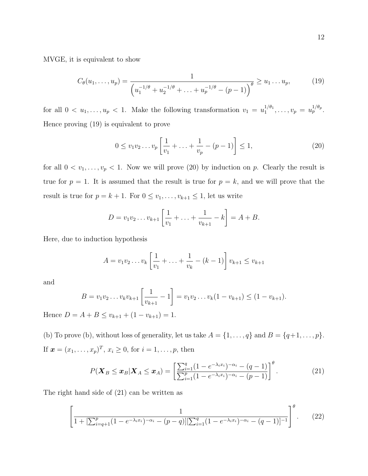MVGE, it is equivalent to show

$$
C_{\theta}(u_1, \ldots, u_p) = \frac{1}{\left(u_1^{-1/\theta} + u_2^{-1/\theta} + \ldots + u_p^{-1/\theta} - (p-1)\right)^{\theta}} \ge u_1 \ldots u_p,
$$
 (19)

for all  $0 < u_1, \ldots, u_p < 1$ . Make the following transformation  $v_1 = u_1^{1/\theta_1}$  $u_1^{1/\theta_1}, \ldots, v_p = u_p^{1/\theta_p}.$ Hence proving (19) is equivalent to prove

$$
0 \le v_1 v_2 \dots v_p \left[ \frac{1}{v_1} + \dots + \frac{1}{v_p} - (p-1) \right] \le 1,
$$
\n(20)

for all  $0 < v_1, \ldots, v_p < 1$ . Now we will prove (20) by induction on p. Clearly the result is true for  $p = 1$ . It is assumed that the result is true for  $p = k$ , and we will prove that the result is true for  $p = k + 1$ . For  $0 \le v_1, \ldots, v_{k+1} \le 1$ , let us write

$$
D = v_1 v_2 \dots v_{k+1} \left[ \frac{1}{v_1} + \dots + \frac{1}{v_{k+1}} - k \right] = A + B.
$$

Here, due to induction hypothesis

$$
A = v_1 v_2 \dots v_k \left[ \frac{1}{v_1} + \dots + \frac{1}{v_k} - (k-1) \right] v_{k+1} \le v_{k+1}
$$

and

$$
B = v_1 v_2 \dots v_k v_{k+1} \left[ \frac{1}{v_{k+1}} - 1 \right] = v_1 v_2 \dots v_k (1 - v_{k+1}) \leq (1 - v_{k+1}).
$$

Hence  $D = A + B \le v_{k+1} + (1 - v_{k+1}) = 1.$ 

(b) To prove (b), without loss of generality, let us take  $A = \{1, \ldots, q\}$  and  $B = \{q+1, \ldots, p\}$ . If  $\mathbf{x} = (x_1, ..., x_p)^T, x_i \ge 0$ , for  $i = 1, ..., p$ , then

$$
P(\boldsymbol{X}_B \leq \boldsymbol{x}_B | \boldsymbol{X}_A \leq \boldsymbol{x}_A) = \left[ \frac{\sum_{i=1}^q (1 - e^{-\lambda_i x_i})^{-\alpha_i} - (q - 1)}{\sum_{i=1}^p (1 - e^{-\lambda_i x_i})^{-\alpha_i} - (p - 1)} \right]^{\theta}.
$$
 (21)

The right hand side of (21) can be written as

$$
\left[\frac{1}{1 + [\sum_{i=q+1}^{p} (1 - e^{-\lambda_i x_i})^{-\alpha_i} - (p-q)][\sum_{i=1}^{q} (1 - e^{-\lambda_i x_i})^{-\alpha_i} - (q-1)]^{-1}}\right]^{\theta}.
$$
 (22)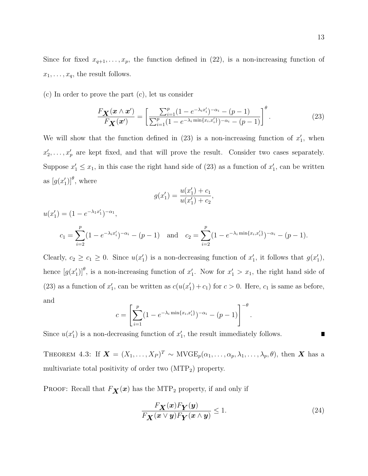Since for fixed  $x_{q+1}, \ldots, x_p$ , the function defined in (22), is a non-increasing function of  $x_1, \ldots, x_q$ , the result follows.

(c) In order to prove the part (c), let us consider

$$
\frac{F_{\mathbf{X}}(\mathbf{x} \wedge \mathbf{x}')}{F_{\mathbf{X}}(\mathbf{x}')} = \left[ \frac{\sum_{i=1}^{p} (1 - e^{-\lambda_i x'_i})^{-\alpha_i} - (p-1)}{\sum_{i=1}^{p} (1 - e^{-\lambda_i \min\{x_i, x'_i\}})^{-\alpha_i} - (p-1)} \right]^{\theta}.
$$
\n(23)

We will show that the function defined in  $(23)$  is a non-increasing function of  $x'_1$ , when  $x_2', \ldots, x_p'$  are kept fixed, and that will prove the result. Consider two cases separately. Suppose  $x_1' \le x_1$ , in this case the right hand side of (23) as a function of  $x_1'$ , can be written as  $[g(x_1')]^{\theta}$ , where

$$
g(x_1') = \frac{u(x_1') + c_1}{u(x_1') + c_2},
$$

$$
u(x'_1) = (1 - e^{-\lambda_1 x'_1})^{-\alpha_1},
$$
  
\n
$$
c_1 = \sum_{i=2}^p (1 - e^{-\lambda_i x'_i})^{-\alpha_i} - (p - 1) \quad \text{and} \quad c_2 = \sum_{i=2}^p (1 - e^{-\lambda_i \min\{x_i, x'_i\}})^{-\alpha_i} - (p - 1).
$$

Clearly,  $c_2 \geq c_1 \geq 0$ . Since  $u(x'_1)$  is a non-decreasing function of  $x'_1$ , it follows that  $g(x'_1)$ , hence  $[g(x_1')]^{\theta}$ , is a non-increasing function of  $x_1'$ . Now for  $x_1' > x_1$ , the right hand side of (23) as a function of  $x'_1$ , can be written as  $c(u(x'_1) + c_1)$  for  $c > 0$ . Here,  $c_1$  is same as before, and

$$
c = \left[ \sum_{i=1}^{p} (1 - e^{-\lambda_i \min\{x_i, x'_i\}})^{-\alpha_i} - (p-1) \right]^{-\theta}.
$$

Since  $u(x_1')$  is a non-decreasing function of  $x_1'$ , the result immediately follows.

THEOREM 4.3: If  $\mathbf{X} = (X_1, \ldots, X_P)^T \sim \text{MVGE}_p(\alpha_1, \ldots, \alpha_p, \lambda_1, \ldots, \lambda_p, \theta)$ , then  $\mathbf{X}$  has a multivariate total positivity of order two  $(MTP<sub>2</sub>)$  property.

PROOF: Recall that  $F_X(x)$  has the MTP<sub>2</sub> property, if and only if

$$
\frac{F_{\mathbf{X}}(x)F_{\mathbf{Y}}(y)}{F_{\mathbf{X}}(x \vee y)F_{\mathbf{Y}}(x \wedge y)} \le 1.
$$
\n(24)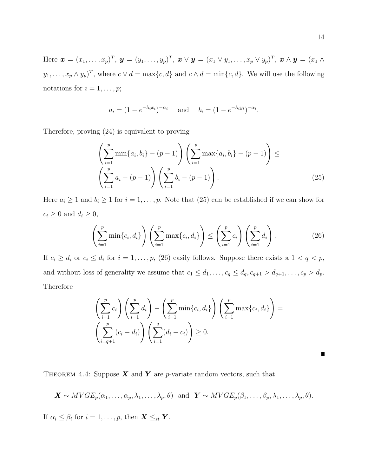Here  $\boldsymbol{x} = (x_1, \ldots, x_p)^T$ ,  $\boldsymbol{y} = (y_1, \ldots, y_p)^T$ ,  $\boldsymbol{x} \vee \boldsymbol{y} = (x_1 \vee y_1, \ldots, x_p \vee y_p)^T$ ,  $\boldsymbol{x} \wedge \boldsymbol{y} = (x_1 \wedge y_1, \ldots, x_p \vee y_p)^T$  $y_1, \ldots, x_p \wedge y_p)^T$ , where  $c \vee d = \max\{c, d\}$  and  $c \wedge d = \min\{c, d\}$ . We will use the following notations for  $i = 1, \ldots, p;$ 

$$
a_i = (1 - e^{-\lambda_i x_i})^{-\alpha_i}
$$
 and  $b_i = (1 - e^{-\lambda_i y_i})^{-\alpha_i}$ .

Therefore, proving (24) is equivalent to proving

$$
\left(\sum_{i=1}^{p} \min\{a_i, b_i\} - (p-1)\right) \left(\sum_{i=1}^{p} \max\{a_i, b_i\} - (p-1)\right) \le \left(\sum_{i=1}^{p} a_i - (p-1)\right) \left(\sum_{i=1}^{p} b_i - (p-1)\right). \tag{25}
$$

Here  $a_i \geq 1$  and  $b_i \geq 1$  for  $i = 1, \ldots, p$ . Note that (25) can be established if we can show for  $c_i \geq 0$  and  $d_i \geq 0$ ,

$$
\left(\sum_{i=1}^p \min\{c_i, d_i\}\right) \left(\sum_{i=1}^p \max\{c_i, d_i\}\right) \le \left(\sum_{i=1}^p c_i\right) \left(\sum_{i=1}^p d_i\right). \tag{26}
$$

If  $c_i \geq d_i$  or  $c_i \leq d_i$  for  $i = 1, \ldots, p$ , (26) easily follows. Suppose there exists a  $1 < q < p$ , and without loss of generality we assume that  $c_1 \leq d_1, \ldots, c_q \leq d_q, c_{q+1} > d_{q+1}, \ldots, c_p > d_p$ . Therefore

$$
\left(\sum_{i=1}^p c_i\right) \left(\sum_{i=1}^p d_i\right) - \left(\sum_{i=1}^p \min\{c_i, d_i\}\right) \left(\sum_{i=1}^p \max\{c_i, d_i\}\right) = \left(\sum_{i=q+1}^p (c_i - d_i)\right) \left(\sum_{i=1}^q (d_i - c_i)\right) \ge 0.
$$

П

THEOREM 4.4: Suppose  $X$  and  $Y$  are p-variate random vectors, such that

$$
\mathbf{X} \sim MVGE_p(\alpha_1,\ldots,\alpha_p,\lambda_1,\ldots,\lambda_p,\theta)
$$
 and  $\mathbf{Y} \sim MVGE_p(\beta_1,\ldots,\beta_p,\lambda_1,\ldots,\lambda_p,\theta)$ .

If  $\alpha_i \leq \beta_i$  for  $i = 1, \ldots, p$ , then  $\mathbf{X} \leq_{st} \mathbf{Y}$ .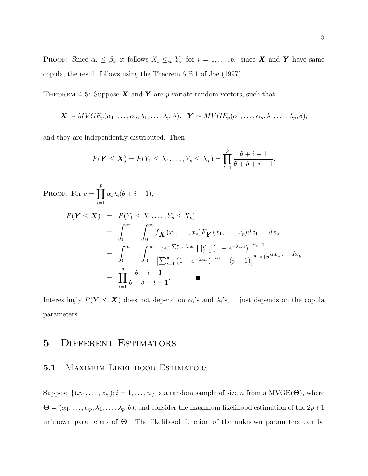**PROOF:** Since  $\alpha_i \leq \beta_i$ , it follows  $X_i \leq_{st} Y_i$ , for  $i = 1, \ldots, p$ . since **X** and **Y** have same copula, the result follows using the Theorem 6.B.1 of Joe (1997).

THEOREM 4.5: Suppose  $X$  and  $Y$  are p-variate random vectors, such that

$$
\mathbf{X} \sim MVGE_p(\alpha_1,\ldots,\alpha_p,\lambda_1,\ldots,\lambda_p,\theta), \quad \mathbf{Y} \sim MVGE_p(\alpha_1,\ldots,\alpha_p,\lambda_1,\ldots,\lambda_p,\delta),
$$

and they are independently distributed. Then

$$
P(Y \le X) = P(Y_1 \le X_1, ..., Y_p \le X_p) = \prod_{i=1}^p \frac{\theta + i - 1}{\theta + \delta + i - 1}.
$$

PROOF: For  $c = \prod$ p  $i=1$  $\alpha_i\lambda_i(\theta + i - 1),$ 

$$
P(\mathbf{Y} \leq \mathbf{X}) = P(Y_1 \leq X_1, \dots, Y_p \leq X_p)
$$
  
= 
$$
\int_0^\infty \dots \int_0^\infty f_{\mathbf{X}}(x_1, \dots, x_p) F_{\mathbf{Y}}(x_1, \dots, x_p) dx_1 \dots dx_p
$$
  
= 
$$
\int_0^\infty \dots \int_0^\infty \frac{ce^{-\sum_{i=1}^p \lambda_i x_i} \prod_{i=1}^p (1 - e^{-\lambda_i x_i})^{-\alpha_i - 1}}{\left[\sum_{i=1}^p (1 - e^{-\lambda_i x_i})^{-\alpha_i} - (p - 1)\right]^{\theta + \delta + p}} dx_1 \dots dx_p
$$
  
= 
$$
\prod_{i=1}^p \frac{\theta + i - 1}{\theta + \delta + i - 1}.
$$

Interestingly  $P(Y \le X)$  does not depend on  $\alpha_i$ 's and  $\lambda_i$ 's, it just depends on the copula parameters.

# 5 DIFFERENT ESTIMATORS

### 5.1 Maximum Likelihood Estimators

Suppose  $\{(x_{i1},...,x_{ip}); i = 1,...,n\}$  is a random sample of size n from a MVGE( $\Theta$ ), where  $\mathbf{\Theta} = (\alpha_1, \dots, \alpha_p, \lambda_1, \dots, \lambda_p, \theta)$ , and consider the maximum likelihood estimation of the  $2p+1$ unknown parameters of  $\Theta$ . The likelihood function of the unknown parameters can be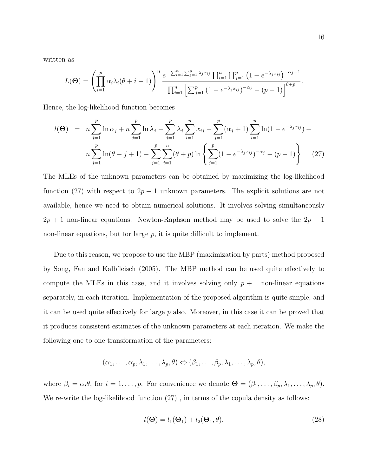written as

$$
L(\Theta) = \left(\prod_{i=1}^p \alpha_i \lambda_i (\theta + i - 1)\right)^n \frac{e^{-\sum_{i=1}^n \sum_{j=1}^p \lambda_j x_{ij}} \prod_{i=1}^n \prod_{j=1}^p \left(1 - e^{-\lambda_j x_{ij}}\right)^{-\alpha_j - 1}}{\prod_{i=1}^n \left[\sum_{j=1}^p \left(1 - e^{-\lambda_j x_{ij}}\right)^{-\alpha_j} - \left(p - 1\right)\right]^{\theta + p}}.
$$

Hence, the log-likelihood function becomes

$$
l(\Theta) = n \sum_{j=1}^{p} \ln \alpha_j + n \sum_{j=1}^{p} \ln \lambda_j - \sum_{j=1}^{p} \lambda_j \sum_{i=1}^{n} x_{ij} - \sum_{j=1}^{p} (\alpha_j + 1) \sum_{i=1}^{n} \ln (1 - e^{-\lambda_j x_{ij}}) + n \sum_{j=1}^{p} \ln(\theta - j + 1) - \sum_{j=1}^{p} \sum_{i=1}^{n} (\theta + p) \ln \left\{ \sum_{j=1}^{p} (1 - e^{-\lambda_j x_{ij}})^{-\alpha_j} - (p - 1) \right\}
$$
(27)

The MLEs of the unknown parameters can be obtained by maximizing the log-likelihood function (27) with respect to  $2p + 1$  unknown parameters. The explicit solutions are not available, hence we need to obtain numerical solutions. It involves solving simultaneously  $2p + 1$  non-linear equations. Newton-Raphson method may be used to solve the  $2p + 1$ non-linear equations, but for large  $p$ , it is quite difficult to implement.

Due to this reason, we propose to use the MBP (maximization by parts) method proposed by Song, Fan and Kalbfleisch (2005). The MBP method can be used quite effectively to compute the MLEs in this case, and it involves solving only  $p + 1$  non-linear equations separately, in each iteration. Implementation of the proposed algorithm is quite simple, and it can be used quite effectively for large  $p$  also. Moreover, in this case it can be proved that it produces consistent estimates of the unknown parameters at each iteration. We make the following one to one transformation of the parameters:

$$
(\alpha_1,\ldots,\alpha_p,\lambda_1,\ldots,\lambda_p,\theta) \Leftrightarrow (\beta_1,\ldots,\beta_p,\lambda_1,\ldots,\lambda_p,\theta),
$$

where  $\beta_i = \alpha_i \theta$ , for  $i = 1, \ldots, p$ . For convenience we denote  $\mathbf{\Theta} = (\beta_1, \ldots, \beta_p, \lambda_1, \ldots, \lambda_p, \theta)$ . We re-write the log-likelihood function  $(27)$ , in terms of the copula density as follows:

$$
l(\mathbf{\Theta}) = l_1(\mathbf{\Theta}_1) + l_2(\mathbf{\Theta}_1, \theta), \tag{28}
$$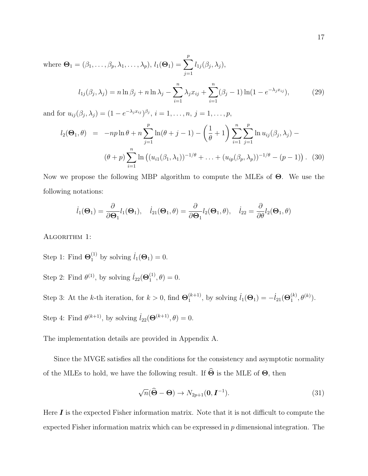where  $\mathbf{\Theta}_1 = (\beta_1, \ldots, \beta_p, \lambda_1, \ldots, \lambda_p), l_1(\mathbf{\Theta}_1) = \sum$ p  $j=1$  $l_{1j}(\beta_j,\lambda_j),$ 

$$
l_{1j}(\beta_j, \lambda_j) = n \ln \beta_j + n \ln \lambda_j - \sum_{i=1}^n \lambda_j x_{ij} + \sum_{i=1}^n (\beta_j - 1) \ln(1 - e^{-\lambda_j x_{ij}}),
$$
 (29)

and for  $u_{ij}(\beta_j, \lambda_j) = (1 - e^{-\lambda_j x_{ij}})^{\beta_j}, i = 1, \dots, n, j = 1, \dots, p$ ,

$$
l_2(\Theta_1, \theta) = -np \ln \theta + n \sum_{j=1}^p \ln(\theta + j - 1) - \left(\frac{1}{\theta} + 1\right) \sum_{i=1}^n \sum_{j=1}^p \ln u_{ij}(\beta_j, \lambda_j) -
$$
  

$$
(\theta + p) \sum_{i=1}^n \ln \left( (u_{i1}(\beta_1, \lambda_1))^{-1/\theta} + \ldots + (u_{ip}(\beta_p, \lambda_p))^{-1/\theta} - (p - 1) \right). \tag{30}
$$

Now we propose the following MBP algorithm to compute the MLEs of Θ. We use the following notations:

$$
\dot{l}_1(\Theta_1) = \frac{\partial}{\partial \Theta_1} l_1(\Theta_1), \quad \dot{l}_{21}(\Theta_1, \theta) = \frac{\partial}{\partial \Theta_1} l_2(\Theta_1, \theta), \quad \dot{l}_{22} = \frac{\partial}{\partial \theta} l_2(\Theta_1, \theta)
$$

ALGORITHM 1:

Step 1: Find  $\Theta_1^{(1)}$  by solving  $l_1(\Theta_1) = 0$ .

Step 2: Find  $\theta^{(1)}$ , by solving  $l_{22}(\Theta_1^{(1)})$  $j_1^{(1)}, \theta$  = 0.

Step 3: At the k-th iteration, for  $k > 0$ , find  $\Theta_1^{(k+1)}$  $j_1^{(k+1)}$ , by solving  $l_1(\Theta_1) = -l_{21}(\Theta_1^{(k)})$  $\mathcal{L}^{(k)}_{1}, \theta^{(k)}).$ Step 4: Find  $\theta^{(k+1)}$ , by solving  $\dot{l}_{22}(\Theta^{(k+1)}, \theta) = 0$ .

The implementation details are provided in Appendix A.

Since the MVGE satisfies all the conditions for the consistency and asymptotic normality of the MLEs to hold, we have the following result. If  $\widehat{\Theta}$  is the MLE of  $\Theta$ , then

$$
\sqrt{n}(\widehat{\Theta} - \Theta) \to N_{2p+1}(\mathbf{0}, \mathbf{I}^{-1}).
$$
\n(31)

Here  $\bm{I}$  is the expected Fisher information matrix. Note that it is not difficult to compute the expected Fisher information matrix which can be expressed in  $p$  dimensional integration. The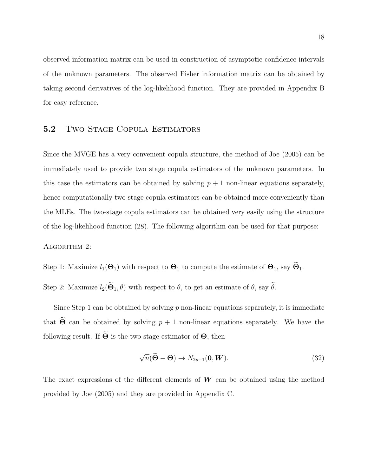observed information matrix can be used in construction of asymptotic confidence intervals of the unknown parameters. The observed Fisher information matrix can be obtained by taking second derivatives of the log-likelihood function. They are provided in Appendix B for easy reference.

### 5.2 TWO STAGE COPULA ESTIMATORS

Since the MVGE has a very convenient copula structure, the method of Joe (2005) can be immediately used to provide two stage copula estimators of the unknown parameters. In this case the estimators can be obtained by solving  $p + 1$  non-linear equations separately, hence computationally two-stage copula estimators can be obtained more conveniently than the MLEs. The two-stage copula estimators can be obtained very easily using the structure of the log-likelihood function (28). The following algorithm can be used for that purpose:

#### ALGORITHM 2:

Step 1: Maximize  $l_1(\Theta_1)$  with respect to  $\Theta_1$  to compute the estimate of  $\Theta_1$ , say  $\widetilde{\Theta}_1$ .

Step 2: Maximize  $l_2(\widetilde{\Theta}_1, \theta)$  with respect to  $\theta$ , to get an estimate of  $\theta$ , say  $\widetilde{\theta}$ .

Since Step 1 can be obtained by solving  $p$  non-linear equations separately, it is immediate that  $\widetilde{\Theta}$  can be obtained by solving  $p + 1$  non-linear equations separately. We have the following result. If  $\widetilde{\Theta}$  is the two-stage estimator of  $\Theta$ , then

$$
\sqrt{n}(\widetilde{\Theta} - \Theta) \to N_{2p+1}(\mathbf{0}, \mathbf{W}).
$$
\n(32)

The exact expressions of the different elements of  $W$  can be obtained using the method provided by Joe (2005) and they are provided in Appendix C.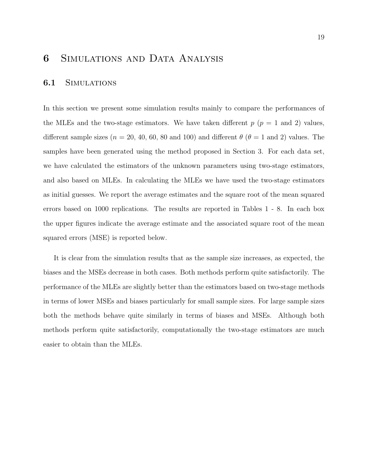# 6 Simulations and Data Analysis

#### 6.1 Simulations

In this section we present some simulation results mainly to compare the performances of the MLEs and the two-stage estimators. We have taken different  $p$  ( $p = 1$  and 2) values, different sample sizes ( $n = 20, 40, 60, 80$  and 100) and different  $\theta$  ( $\theta = 1$  and 2) values. The samples have been generated using the method proposed in Section 3. For each data set, we have calculated the estimators of the unknown parameters using two-stage estimators, and also based on MLEs. In calculating the MLEs we have used the two-stage estimators as initial guesses. We report the average estimates and the square root of the mean squared errors based on 1000 replications. The results are reported in Tables 1 - 8. In each box the upper figures indicate the average estimate and the associated square root of the mean squared errors (MSE) is reported below.

It is clear from the simulation results that as the sample size increases, as expected, the biases and the MSEs decrease in both cases. Both methods perform quite satisfactorily. The performance of the MLEs are slightly better than the estimators based on two-stage methods in terms of lower MSEs and biases particularly for small sample sizes. For large sample sizes both the methods behave quite similarly in terms of biases and MSEs. Although both methods perform quite satisfactorily, computationally the two-stage estimators are much easier to obtain than the MLEs.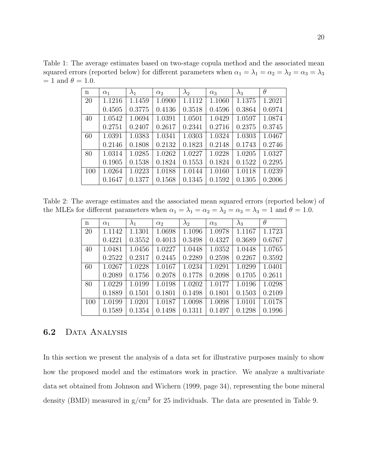Table 1: The average estimates based on two-stage copula method and the associated mean squared errors (reported below) for different parameters when  $\alpha_1 = \lambda_1 = \alpha_2 = \lambda_2 = \alpha_3 = \lambda_3$  $= 1$  and  $\theta = 1.0$ .

| $\mathbf n$ | $\alpha_1$ | $\lambda_1$ | $\alpha_2$ | $\lambda_2$ | $\alpha_3$ | $\lambda_3$ | $\theta$ |
|-------------|------------|-------------|------------|-------------|------------|-------------|----------|
| 20          | 1.1216     | 1.1459      | 1.0900     | 1.1112      | 1.1060     | 1.1375      | 1.2021   |
|             | 0.4505     | 0.3775      | 0.4136     | 0.3518      | 0.4596     | 0.3864      | 0.6974   |
| 40          | 1.0542     | 1.0694      | 1.0391     | 1.0501      | 1.0429     | 1.0597      | 1.0874   |
|             | 0.2751     | 0.2407      | 0.2617     | 0.2341      | 0.2716     | 0.2375      | 0.3745   |
| 60          | 1.0391     | 1.0383      | 1.0341     | 1.0303      | 1.0324     | 1.0303      | 1.0467   |
|             | 0.2146     | 0.1808      | 0.2132     | 0.1823      | 0.2148     | 0.1743      | 0.2746   |
| 80          | 1.0314     | 1.0285      | 1.0262     | 1.0227      | 1.0228     | 1.0205      | 1.0327   |
|             | 0.1905     | 0.1538      | 0.1824     | 0.1553      | 0.1824     | 0.1522      | 0.2295   |
| 100         | 1.0264     | 1.0223      | 1.0188     | 1.0144      | 1.0160     | 1.0118      | 1.0239   |
|             | 0.1647     | 0.1377      | 0.1568     | 0.1345      | 0.1592     | 0.1305      | 0.2006   |

Table 2: The average estimates and the associated mean squared errors (reported below) of the MLEs for different parameters when  $\alpha_1 = \lambda_1 = \alpha_2 = \lambda_2 = \alpha_3 = \lambda_3 = 1$  and  $\theta = 1.0$ .

| n   | $\alpha_1$ | $\lambda_1$ | $\alpha_2$ | $\lambda_2$ | $\alpha_3$ | $\lambda_3$ | $\theta$ |
|-----|------------|-------------|------------|-------------|------------|-------------|----------|
| 20  | 1.1142     | 1.1301      | 1.0698     | 1.1096      | 1.0978     | 1.1167      | 1.1723   |
|     | 0.4221     | 0.3552      | 0.4013     | 0.3498      | 0.4327     | 0.3689      | 0.6767   |
| 40  | 1.0481     | 1.0456      | 1.0227     | 1.0448      | 1.0352     | 1.0448      | 1.0765   |
|     | 0.2522     | 0.2317      | 0.2445     | 0.2289      | 0.2598     | 0.2267      | 0.3592   |
| 60  | 1.0267     | 1.0228      | 1.0167     | 1.0234      | 1.0291     | 1.0299      | 1.0401   |
|     | 0.2089     | 0.1756      | 0.2078     | 0.1778      | 0.2098     | 0.1705      | 0.2611   |
| 80  | 1.0229     | 1.0199      | 1.0198     | 1.0202      | 1.0177     | 1.0196      | 1.0298   |
|     | 0.1889     | 0.1501      | 0.1801     | 0.1498      | 0.1801     | 0.1503      | 0.2109   |
| 100 | 1.0199     | 1.0201      | 1.0187     | 1.0098      | 1.0098     | 1.0101      | 1.0178   |
|     | 0.1589     | 0.1354      | 0.1498     | 0.1311      | 0.1497     | 0.1298      | 0.1996   |

### 6.2 DATA ANALYSIS

In this section we present the analysis of a data set for illustrative purposes mainly to show how the proposed model and the estimators work in practice. We analyze a multivariate data set obtained from Johnson and Wichern (1999, page 34), representing the bone mineral density (BMD) measured in  $g/cm<sup>2</sup>$  for 25 individuals. The data are presented in Table 9.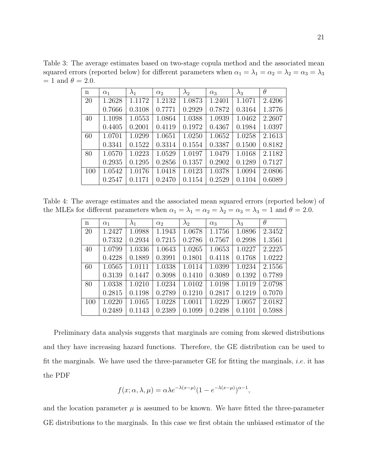Table 3: The average estimates based on two-stage copula method and the associated mean squared errors (reported below) for different parameters when  $\alpha_1 = \lambda_1 = \alpha_2 = \lambda_2 = \alpha_3 = \lambda_3$  $= 1$  and  $\theta = 2.0$ .

| $\mathbf n$ | $\alpha_1$ | $\lambda_1$ | $\alpha_2$ | $\lambda_2$ | $\alpha_3$ | $\lambda_3$ | $\theta$ |
|-------------|------------|-------------|------------|-------------|------------|-------------|----------|
| 20          | 1.2628     | 1.1172      | 1.2132     | 1.0873      | 1.2401     | 1.1071      | 2.4206   |
|             | 0.7666     | 0.3108      | 0.7771     | 0.2929      | 0.7872     | 0.3164      | 1.3776   |
| 40          | 1.1098     | 1.0553      | 1.0864     | 1.0388      | 1.0939     | 1.0462      | 2.2607   |
|             | 0.4405     | 0.2001      | 0.4119     | 0.1972      | 0.4367     | 0.1984      | 1.0397   |
| 60          | 1.0701     | 1.0299      | 1.0651     | 1.0250      | 1.0652     | 1.0258      | 2.1613   |
|             | 0.3341     | 0.1522      | 0.3314     | 0.1554      | 0.3387     | 0.1500      | 0.8182   |
| 80          | 1.0570     | 1.0223      | 1.0529     | 1.0197      | 1.0479     | 1.0168      | 2.1182   |
|             | 0.2935     | 0.1295      | 0.2856     | 0.1357      | 0.2902     | 0.1289      | 0.7127   |
| 100         | 1.0542     | 1.0176      | 1.0418     | 1.0123      | 1.0378     | 1.0094      | 2.0806   |
|             | 0.2547     | 0.1171      | 0.2470     | 0.1154      | 0.2529     | 0.1104      | 0.6089   |

Table 4: The average estimates and the associated mean squared errors (reported below) of the MLEs for different parameters when  $\alpha_1 = \lambda_1 = \alpha_2 = \lambda_2 = \alpha_3 = \lambda_3 = 1$  and  $\theta = 2.0$ .

| $\mathbf n$ | $\alpha_1$ | $\lambda_1$ | $\alpha_2$ | $\lambda_2$ | $\alpha_3$ | $\lambda_3$ | $\theta$ |
|-------------|------------|-------------|------------|-------------|------------|-------------|----------|
| 20          | 1.2427     | 1.0988      | 1.1943     | 1.0678      | 1.1756     | 1.0896      | 2.3452   |
|             | 0.7332     | 0.2934      | 0.7215     | 0.2786      | 0.7567     | 0.2998      | 1.3561   |
| 40          | 1.0799     | 1.0336      | 1.0643     | 1.0265      | 1.0653     | 1.0227      | 2.2225   |
|             | 0.4228     | 0.1889      | 0.3991     | 0.1801      | 0.4118     | 0.1768      | 1.0222   |
| 60          | 1.0565     | 1.0111      | 1.0338     | 1.0114      | 1.0399     | 1.0234      | 2.1556   |
|             | 0.3139     | 0.1447      | 0.3098     | 0.1410      | 0.3089     | 0.1392      | 0.7789   |
| 80          | 1.0338     | 1.0210      | 1.0234     | 1.0102      | 1.0198     | 1.0119      | 2.0798   |
|             | 0.2815     | 0.1198      | 0.2789     | 0.1210      | 0.2817     | 0.1219      | 0.7070   |
| 100         | 1.0220     | 1.0165      | 1.0228     | 1.0011      | 1.0229     | 1.0057      | 2.0182   |
|             | 0.2489     | 0.1143      | 0.2389     | 0.1099      | 0.2498     | 0.1101      | 0.5988   |

Preliminary data analysis suggests that marginals are coming from skewed distributions and they have increasing hazard functions. Therefore, the GE distribution can be used to fit the marginals. We have used the three-parameter GE for fitting the marginals, *i.e.* it has the PDF

$$
f(x; \alpha, \lambda, \mu) = \alpha \lambda e^{-\lambda (x - \mu)} (1 - e^{-\lambda (x - \mu)})^{\alpha - 1},
$$

and the location parameter  $\mu$  is assumed to be known. We have fitted the three-parameter GE distributions to the marginals. In this case we first obtain the unbiased estimator of the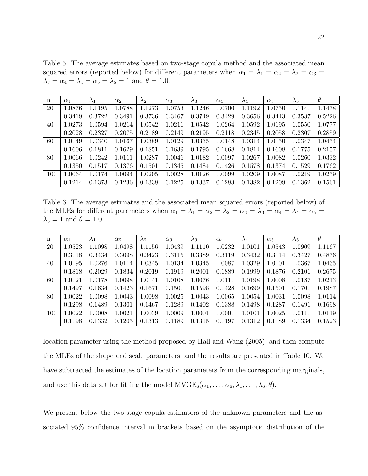Table 5: The average estimates based on two-stage copula method and the associated mean squared errors (reported below) for different parameters when  $\alpha_1 = \lambda_1 = \alpha_2 = \lambda_2 = \alpha_3 =$  $\lambda_3 = \alpha_4 = \lambda_4 = \alpha_5 = \lambda_5 = 1$  and  $\theta = 1.0$ .

| n   | $\alpha_1$ | $\lambda_1$ | $\alpha_2$ | $\lambda_2$ | $\alpha_3$ | $\lambda_3$ | $\alpha_4$ | $\lambda_4$ | $\alpha_5$ | $\lambda_5$ | $\theta$ |
|-----|------------|-------------|------------|-------------|------------|-------------|------------|-------------|------------|-------------|----------|
| 20  | 1.0876     | 1.1195      | 1.0788     | 1.1273      | 1.0753     | 1.1246      | 1.0700     | 1.1192      | 1.0750     | 1.1141      | 1.1478   |
|     | 0.3419     | 0.3722      | 0.3491     | 0.3736      | 0.3467     | 0.3749      | 0.3429     | 0.3656      | 0.3443     | 0.3537      | 0.5226   |
| 40  | 1.0273     | 1.0594      | 1.0214     | 1.0542      | 1.0211     | 1.0542      | 1.0264     | 1.0592      | 1.0195     | 1.0550      | 1.0777   |
|     | 0.2028     | 0.2327      | 0.2075     | 0.2189      | 0.2149     | 0.2195      | 0.2118     | 0.2345      | 0.2058     | 0.2307      | 0.2859   |
| 60  | 1.0149     | 1.0340      | 1.0167     | 1.0389      | 1.0129     | 1.0335      | 1.0148     | 1.0314      | 1.0150     | 1.0347      | 1.0454   |
|     | 0.1606     | 0.1811      | 0.1629     | 0.1851      | 0.1639     | 0.1795      | 0.1668     | 0.1814      | 0.1608     | 0.1775      | 0.2157   |
| 80  | $1.0066\,$ | 1.0242      | 1.0111     | 1.0287      | 1.0046     | 1.0182      | 1.0097     | 1.0267      | 1.0082     | 1.0260      | 1.0332   |
|     | 0.1350     | 0.1517      | 0.1376     | 0.1501      | 0.1345     | 0.1484      | 0.1426     | 0.1578      | 0.1374     | 0.1529      | 0.1762   |
| 100 | $1.0064\,$ | 1.0174      | 1.0094     | 1.0205      | 1.0028     | 1.0126      | 1.0099     | 1.0209      | 1.0087     | 1.0219      | 1.0259   |
|     | 0.1214     | 0.1373      | 0.1236     | 0.1338      | 0.1225     | 0.1337      | 0.1283     | 0.1382      | 0.1209     | 0.1362      | 0.1561   |

Table 6: The average estimates and the associated mean squared errors (reported below) of the MLEs for different parameters when  $\alpha_1 = \lambda_1 = \alpha_2 = \lambda_2 = \alpha_3 = \lambda_3 = \alpha_4 = \lambda_4 = \alpha_5 =$  $\lambda_5 = 1$  and  $\theta = 1.0$ .

| $\mathbf n$ | $\alpha_1$ | $\lambda_1$ | $\alpha_2$ | $\lambda_2$ | $\alpha_3$ | $\lambda_3$ | $\alpha_4$ | $\lambda_4$ | $\alpha_5$ | $\lambda_5$ | $\theta$ |
|-------------|------------|-------------|------------|-------------|------------|-------------|------------|-------------|------------|-------------|----------|
| 20          | 1.0523     | 1.1098      | 1.0498     | 1.1156      | 1.0439     | 1.1110      | 1.0232     | 1.0101      | 1.0543     | 1.0909      | 1.1167   |
|             | 0.3118     | 0.3434      | 0.3098     | 0.3423      | 0.3115     | 0.3389      | 0.3119     | 0.3432      | 0.3114     | 0.3427      | 0.4876   |
| 40          | $1.0195\,$ | 1.0276      | 1.0114     | 1.0345      | 1.0134     | 1.0345      | 1.0087     | 1.0329      | 1.0101     | 1.0367      | 1.0435   |
|             | 0.1818     | 0.2029      | 0.1834     | 0.2019      | 0.1919     | 0.2001      | 0.1889     | 0.1999      | 0.1876     | 0.2101      | 0.2675   |
| 60          | 1.0121     | 1.0178      | 1.0098     | 1.0141      | 1.0108     | 1.0076      | 1.0111     | 1.0198      | 1.0008     | 1.0187      | 1.0213   |
|             | 0.1497     | 0.1634      | 0.1423     | 0.1671      | 0.1501     | 0.1598      | 0.1428     | 0.1699      | 0.1501     | 0.1701      | 0.1987   |
| 80          | 1.0022     | 1.0098      | 1.0043     | 1.0098      | 1.0025     | 1.0043      | 1.0065     | 1.0054      | 1.0031     | 1.0098      | 1.0114   |
|             | 0.1298     | 0.1489      | 0.1301     | 0.1467      | 0.1289     | 0.1402      | 0.1388     | 0.1498      | 0.1287     | 0.1491      | 0.1698   |
| 100         | $1.0022\,$ | 1.0008      | 1.0021     | 1.0039      | 1.0009     | 1.0001      | 1.0001     | 1.0101      | 1.0025     | 1.0111      | 1.0119   |
|             | 0.1198     | 0.1332      | 0.1205     | 0.1313      | 0.1189     | 0.1315      | 0.1197     | 0.1312      | 0.1189     | 0.1334      | 0.1523   |

location parameter using the method proposed by Hall and Wang (2005), and then compute the MLEs of the shape and scale parameters, and the results are presented in Table 10. We have subtracted the estimates of the location parameters from the corresponding marginals, and use this data set for fitting the model  $MVEE_6(\alpha_1, \ldots, \alpha_6, \lambda_1, \ldots, \lambda_6, \theta)$ .

We present below the two-stage copula estimators of the unknown parameters and the associated 95% confidence interval in brackets based on the asymptotic distribution of the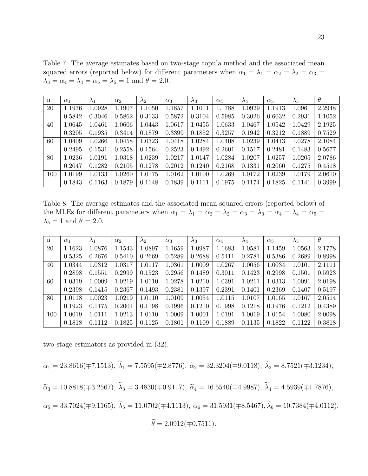Table 7: The average estimates based on two-stage copula method and the associated mean squared errors (reported below) for different parameters when  $\alpha_1 = \lambda_1 = \alpha_2 = \lambda_2 = \alpha_3 =$  $\lambda_3 = \alpha_4 = \lambda_4 = \alpha_5 = \lambda_5 = 1$  and  $\theta = 2.0$ .

| n   | $\alpha_1$ | $\lambda_1$ | $\alpha_2$ | $\lambda_2$ | $\alpha_3$ | $\lambda_3$ | $\alpha_4$ | $\lambda_4$ | $\alpha_5$ | $\lambda_5$ | $\theta$ |
|-----|------------|-------------|------------|-------------|------------|-------------|------------|-------------|------------|-------------|----------|
| 20  | 1.1976     | 1.0928      | 1.1907     | 1.1050      | 1.1857     | 1.1011      | 1.1788     | 1.0929      | 1.1913     | 1.0961      | 2.2948   |
|     | 0.5842     | 0.3046      | 0.5862     | 0.3133      | 0.5872     | 0.3104      | 0.5985     | 0.3026      | 0.6032     | 0.2931      | 1.1052   |
| 40  | $1.0645\,$ | 1.0461      | 1.0606     | 1.0443      | 1.0617     | 1.0455      | 1.0633     | 1.0467      | 1.0542     | 1.0429      | 2.1925   |
|     | 0.3205     | 0.1935      | 0.3414     | 0.1879      | 0.3399     | 0.1852      | 0.3257     | 0.1942      | 0.3212     | 0.1889      | 0.7529   |
| 60  | 1.0409     | 1.0266      | 1.0458     | 1.0323      | 1.0418     | 1.0284      | 1.0408     | 1.0239      | 1.0413     | 1.0278      | 2.1084   |
|     | 0.2495     | 0.1531      | 0.2558     | 0.1564      | 0.2523     | 0.1492      | 0.2601     | 0.1517      | 0.2481     | 0.1483      | 0.5677   |
| 80  | $1.0236\,$ | 1.0191      | 1.0318     | 1.0239      | 1.0217     | 1.0147      | 1.0284     | 1.0207      | 1.0257     | 1.0205      | 2.0786   |
|     | 0.2047     | 0.1282      | 0.2105     | 0.1278      | 0.2012     | 0.1240      | 0.2168     | 0.1331      | 0.2060     | 0.1275      | 0.4518   |
| 100 | 1.0199     | 1.0133      | 1.0260     | 1.0175      | 1.0162     | 1.0100      | 1.0269     | 1.0172      | 1.0239     | 1.0179      | 2.0610   |
|     | 0.1843     | 0.1163      | 0.1879     | 0.1148      | 0.1839     | 0.1111      | 0.1975     | 0.1174      | 0.1825     | 0.1141      | 0.3999   |

Table 8: The average estimates and the associated mean squared errors (reported below) of the MLEs for different parameters when  $\alpha_1 = \lambda_1 = \alpha_2 = \lambda_2 = \alpha_3 = \lambda_3 = \alpha_4 = \lambda_4 = \alpha_5 =$  $\lambda_5 = 1$  and  $\theta = 2.0$ .

| n   | $\alpha_1$ | $\lambda_1$ | $\alpha$ <sub>2</sub> | $\lambda_2$ | $\alpha_3$ | $\lambda_3$ | $\alpha_4$ | $\lambda_4$ | $\alpha_5$ | $\lambda_5$ | $\theta$ |
|-----|------------|-------------|-----------------------|-------------|------------|-------------|------------|-------------|------------|-------------|----------|
| 20  | $1.1623\,$ | 1.0876      | 1.1543                | 1.0897      | 1.1659     | 1.0987      | 1.1683     | 1.0581      | 1.1459     | 1.0563      | 2.1778   |
|     | 0.5325     | 0.2676      | 0.5410                | 0.2669      | 0.5289     | 0.2688      | 0.5411     | 0.2781      | 0.5386     | 0.2689      | 0.8998   |
| 40  | 1.0344     | 1.0312      | 1.0317                | 1.0117      | 1.0361     | 1.0009      | 1.0267     | 1.0056      | 1.0034     | 1.0101      | 2.1111   |
|     | 0.2898     | 0.1551      | 0.2999                | 0.1523      | 0.2956     | 0.1489      | 0.3011     | 0.1423      | 0.2998     | 0.1501      | 0.5923   |
| 60  | 1.0319     | 1.0009      | 1.0219                | 1.0110      | 1.0278     | 1.0210      | 1.0391     | 1.0211      | 1.0313     | 1.0091      | 2.0198   |
|     | 0.2398     | 0.1415      | 0.2367                | 0.1493      | 0.2381     | 0.1397      | 0.2391     | 0.1401      | 0.2369     | 0.1407      | 0.5197   |
| 80  | 1.0118     | 1.0023      | 1.0219                | 1.0110      | 1.0109     | 1.0054      | 1.0115     | 1.0107      | 1.0165     | 1.0167      | 2.0514   |
|     | 0.1923     | 0.1175      | 0.2001                | 0.1198      | 0.1996     | 0.1210      | 0.1998     | 0.1218      | 0.1976     | 0.1212      | 0.4389   |
| 100 | 1.0019     | 1.0111      | 1.0213                | 1.0110      | 1.0009     | 1.0001      | 1.0191     | 1.0019      | 1.0154     | 1.0080      | 2.0098   |
|     | 0.1818     | 0.1112      | 0.1825                | 0.1125      | 0.1801     | 0.1109      | 0.1889     | 0.1135      | 0.1822     | 0.1122      | 0.3818   |

two-stage estimators as provided in (32).

$$
\tilde{\alpha}_1 = 23.8616(\pm 7.1513), \ \tilde{\lambda}_1 = 7.5595(\pm 2.8776), \ \tilde{\alpha}_2 = 32.3204(\pm 9.0118), \ \tilde{\lambda}_2 = 8.7521(\pm 3.1234),
$$

$$
\tilde{\alpha}_3 = 10.8818(\pm 3.2567), \ \tilde{\lambda}_3 = 3.4830(\pm 0.9117), \ \tilde{\alpha}_4 = 16.5540(\pm 4.9987), \ \tilde{\lambda}_4 = 4.5939(\pm 1.7876),
$$

 $\widetilde{\alpha}_5 = 33.7024(\mp 9.1165), \ \widetilde{\lambda}_5 = 11.0702(\mp 4.1113), \ \widetilde{\alpha}_6 = 31.5931(\mp 8.5467), \widetilde{\lambda}_6 = 10.7384(\mp 4.0112),$ 

$$
\widetilde{\theta} = 2.0912(\mp 0.7511).
$$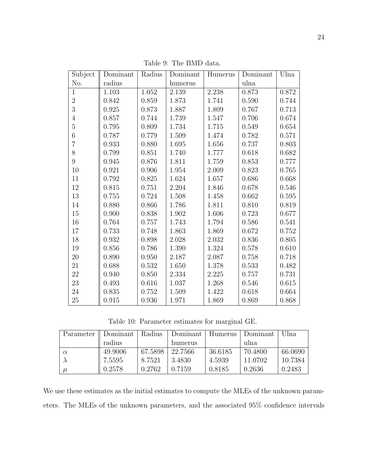| Subject        | Dominant | Radius | Dominant | Humerus | Dominant | Ulna  |
|----------------|----------|--------|----------|---------|----------|-------|
| No.            | radius   |        | humerus  |         | ulna     |       |
| $\mathbf{1}$   | 1.103    | 1.052  | 2.139    | 2.238   | 0.873    | 0.872 |
| $\overline{2}$ | 0.842    | 0.859  | 1.873    | 1.741   | 0.590    | 0.744 |
| 3              | 0.925    | 0.873  | 1.887    | 1.809   | 0.767    | 0.713 |
| $\overline{4}$ | 0.857    | 0.744  | 1.739    | 1.547   | 0.706    | 0.674 |
| $\overline{5}$ | 0.795    | 0.809  | 1.734    | 1.715   | 0.549    | 0.654 |
| $\sqrt{6}$     | 0.787    | 0.779  | 1.509    | 1.474   | 0.782    | 0.571 |
| $\overline{7}$ | 0.933    | 0.880  | 1.695    | 1.656   | 0.737    | 0.803 |
| 8              | 0.799    | 0.851  | 1.740    | 1.777   | 0.618    | 0.682 |
| 9              | 0.945    | 0.876  | 1.811    | 1.759   | 0.853    | 0.777 |
| $10\,$         | 0.921    | 0.906  | 1.954    | 2.009   | 0.823    | 0.765 |
| 11             | 0.792    | 0.825  | 1.624    | 1.657   | 0.686    | 0.668 |
| 12             | 0.815    | 0.751  | 2.204    | 1.846   | 0.678    | 0.546 |
| 13             | 0.755    | 0.724  | 1.508    | 1.458   | 0.662    | 0.595 |
| 14             | 0.880    | 0.866  | 1.786    | 1.811   | 0.810    | 0.819 |
| 15             | 0.900    | 0.838  | 1.902    | 1.606   | 0.723    | 0.677 |
| 16             | 0.764    | 0.757  | 1.743    | 1.794   | 0.586    | 0.541 |
| 17             | 0.733    | 0.748  | 1.863    | 1.869   | 0.672    | 0.752 |
| 18             | 0.932    | 0.898  | 2.028    | 2.032   | 0.836    | 0.805 |
| 19             | 0.856    | 0.786  | 1.390    | 1.324   | 0.578    | 0.610 |
| 20             | 0.890    | 0.950  | 2.187    | 2.087   | 0.758    | 0.718 |
| 21             | 0.688    | 0.532  | 1.650    | 1.378   | 0.533    | 0.482 |
| 22             | 0.940    | 0.850  | 2.334    | 2.225   | 0.757    | 0.731 |
| 23             | 0.493    | 0.616  | 1.037    | 1.268   | 0.546    | 0.615 |
| 24             | 0.835    | 0.752  | 1.509    | 1.422   | 0.618    | 0.664 |
| 25             | 0.915    | 0.936  | 1.971    | 1.869   | 0.869    | 0.868 |

Table 9: The BMD data.

Table 10: Parameter estimates for marginal GE.

| Parameter | Dominant | Radius  | Dominant | Humerus | Dominant | Ulna    |
|-----------|----------|---------|----------|---------|----------|---------|
|           | radius   |         | humerus  |         | ulna     |         |
|           | 49.9006  | 67.5898 | 22.7566  | 36.6185 | 70.4800  | 66.0690 |
|           | 7.5595   | 8.7521  | 3.4830   | 4.5939  | 11.0702  | 10.7384 |
|           | 0.2578   | 0.2762  | 0.7159   | 0.8185  | 0.2636   | 0.2483  |

We use these estimates as the initial estimates to compute the MLEs of the unknown parameters. The MLEs of the unknown parameters, and the associated 95% confidence intervals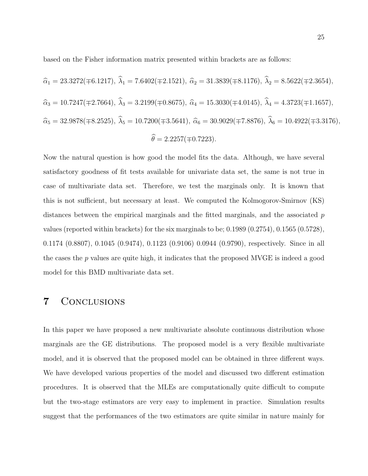based on the Fisher information matrix presented within brackets are as follows:

$$
\begin{aligned}\n\widehat{\alpha}_1 &= 23.3272(\mp 6.1217), \ \widehat{\lambda}_1 = 7.6402(\mp 2.1521), \ \widehat{\alpha}_2 = 31.3839(\mp 8.1176), \ \widehat{\lambda}_2 = 8.5622(\mp 2.3654), \\
\widehat{\alpha}_3 &= 10.7247(\mp 2.7664), \ \widehat{\lambda}_3 = 3.2199(\mp 0.8675), \ \widehat{\alpha}_4 = 15.3030(\mp 4.0145), \ \widehat{\lambda}_4 = 4.3723(\mp 1.1657), \\
\widehat{\alpha}_5 &= 32.9878(\mp 8.2525), \ \widehat{\lambda}_5 = 10.7200(\mp 3.5641), \ \widehat{\alpha}_6 = 30.9029(\mp 7.8876), \ \widehat{\lambda}_6 = 10.4922(\mp 3.3176), \\
\widehat{\theta} &= 2.2257(\mp 0.7223).\n\end{aligned}
$$

Now the natural question is how good the model fits the data. Although, we have several satisfactory goodness of fit tests available for univariate data set, the same is not true in case of multivariate data set. Therefore, we test the marginals only. It is known that this is not sufficient, but necessary at least. We computed the Kolmogorov-Smirnov (KS) distances between the empirical marginals and the fitted marginals, and the associated  $p$ values (reported within brackets) for the six marginals to be; 0.1989 (0.2754), 0.1565 (0.5728), 0.1174 (0.8807), 0.1045 (0.9474), 0.1123 (0.9106) 0.0944 (0.9790), respectively. Since in all the cases the  $p$  values are quite high, it indicates that the proposed MVGE is indeed a good model for this BMD multivariate data set.

### 7 Conclusions

In this paper we have proposed a new multivariate absolute continuous distribution whose marginals are the GE distributions. The proposed model is a very flexible multivariate model, and it is observed that the proposed model can be obtained in three different ways. We have developed various properties of the model and discussed two different estimation procedures. It is observed that the MLEs are computationally quite difficult to compute but the two-stage estimators are very easy to implement in practice. Simulation results suggest that the performances of the two estimators are quite similar in nature mainly for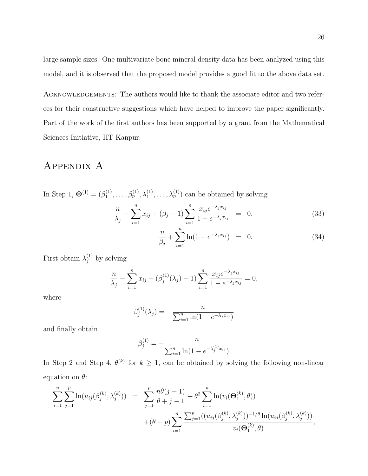large sample sizes. One multivariate bone mineral density data has been analyzed using this model, and it is observed that the proposed model provides a good fit to the above data set.

ACKNOWLEDGEMENTS: The authors would like to thank the associate editor and two referees for their constructive suggestions which have helped to improve the paper significantly. Part of the work of the first authors has been supported by a grant from the Mathematical Sciences Initiative, IIT Kanpur.

### APPENDIX A

In Step 1,  $\mathbf{\Theta}^{(1)} = (\beta_1^{(1)})$  $\lambda_1^{(1)}, \ldots, \beta_p^{(1)}, \lambda_1^{(1)}, \ldots, \lambda_p^{(1)}$  can be obtained by solving

$$
\frac{n}{\lambda_j} - \sum_{i=1}^n x_{ij} + (\beta_j - 1) \sum_{i=1}^n \frac{x_{ij} e^{-\lambda_j x_{ij}}}{1 - e^{-\lambda_j x_{ij}}} = 0,
$$
\n(33)

$$
\frac{n}{\beta_j} + \sum_{i=1}^n \ln(1 - e^{-\lambda_j x_{ij}}) = 0.
$$
 (34)

First obtain  $\lambda_j^{(1)}$  by solving

$$
\frac{n}{\lambda_j} - \sum_{i=1}^n x_{ij} + (\beta_j^{(1)}(\lambda_j) - 1) \sum_{i=1}^n \frac{x_{ij} e^{-\lambda_j x_{ij}}}{1 - e^{-\lambda_j x_{ij}}} = 0,
$$

where

$$
\beta_j^{(1)}(\lambda_j) = -\frac{n}{\sum_{i=1}^n \ln(1 - e^{-\lambda_j x_{ij}})}
$$

and finally obtain

$$
\beta_j^{(1)} = -\frac{n}{\sum_{i=1}^n \ln(1 - e^{-\lambda_j^{(1)}x_{ij}})}
$$

In Step 2 and Step 4,  $\theta^{(k)}$  for  $k \geq 1$ , can be obtained by solving the following non-linear equation on  $\theta$ :

$$
\sum_{i=1}^{n} \sum_{j=1}^{p} \ln(u_{ij}(\beta_j^{(k)}, \lambda_j^{(k)})) = \sum_{j=1}^{p} \frac{n\theta(j-1)}{\theta+j-1} + \theta^2 \sum_{i=1}^{n} \ln(v_i(\Theta_1^{(k)}, \theta)) + (\theta + p) \sum_{i=1}^{n} \frac{\sum_{j=1}^{p} ((u_{ij}(\beta_j^{(k)}, \lambda_j^{(k)}))^{-1/\theta} \ln(u_{ij}(\beta_j^{(k)}, \lambda_j^{(k)}))}{v_i(\Theta_1^{(k)}, \theta)},
$$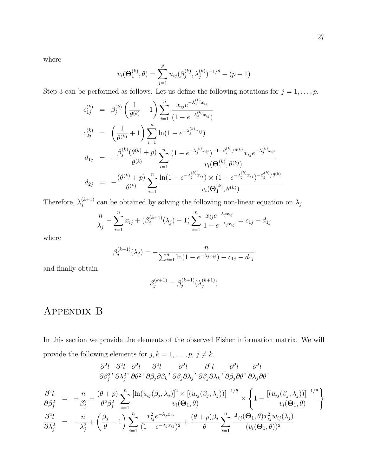where

$$
v_i(\Theta_1^{(k)}, \theta) = \sum_{j=1}^p u_{ij}(\beta_j^{(k)}, \lambda_j^{(k)})^{-1/\theta} - (p-1)
$$

Step 3 can be performed as follows. Let us define the following notations for  $j = 1, \ldots, p$ .

$$
c_{1j}^{(k)} = \beta_j^{(k)} \left( \frac{1}{\theta^{(k)}} + 1 \right) \sum_{i=1}^n \frac{x_{ij} e^{-\lambda_j^{(k)} x_{ij}}}{(1 - e^{-\lambda_j^{(k)} x_{ij}})}
$$
  
\n
$$
c_{2j}^{(k)} = \left( \frac{1}{\theta^{(k)}} + 1 \right) \sum_{i=1}^n \ln(1 - e^{-\lambda_j^{(k)} x_{ij}})
$$
  
\n
$$
d_{1j} = -\frac{\beta_j^{(k)} (\theta^{(k)} + p)}{\theta^{(k)}} \sum_{i=1}^n \frac{(1 - e^{-\lambda_j^{(k)} x_{ij}})^{-1 - \beta_j^{(k)} / \theta^{(k)}} x_{ij} e^{-\lambda_j^{(k)} x_{ij}}}{v_i(\Theta_1^{(k)}, \theta^{(k)})}
$$
  
\n
$$
d_{2j} = -\frac{(\theta^{(k)} + p)}{\theta^{(k)}} \sum_{i=1}^n \frac{\ln(1 - e^{-\lambda_j^{(k)} x_{ij}}) \times (1 - e^{-\lambda_j^{(k)} x_{ij}})^{-\beta_j^{(k)} / \theta^{(k)}}}{v_i(\Theta_1^{(k)}, \theta^{(k)})}.
$$

Therefore,  $\lambda_i^{(k+1)}$  $j_j^{(k+1)}$  can be obtained by solving the following non-linear equation on  $\lambda_j$ 

$$
\frac{n}{\lambda_j} - \sum_{i=1}^n x_{ij} + (\beta_j^{(k+1)}(\lambda_j) - 1) \sum_{i=1}^n \frac{x_{ij} e^{-\lambda_j x_{ij}}}{1 - e^{-\lambda_j x_{ij}}} = c_{1j} + d_{1j}
$$

where

$$
\beta_j^{(k+1)}(\lambda_j) = -\frac{n}{\sum_{i=1}^n \ln(1 - e^{-\lambda_j x_{ij}}) - c_{1j} - d_{1j}}
$$

and finally obtain

$$
\beta_j^{(k+1)} = \beta_j^{(k+1)}(\lambda_j^{(k+1)})
$$

# Appendix B

In this section we provide the elements of the observed Fisher information matrix. We will provide the following elements for  $j, k = 1, \ldots, p, j \neq k$ .

$$
\frac{\partial^2 l}{\partial \beta_j^2}, \frac{\partial^2 l}{\partial \lambda_j^2}, \frac{\partial^2 l}{\partial \theta^2}, \frac{\partial^2 l}{\partial \beta_j \partial \beta_k}, \frac{\partial^2 l}{\partial \beta_j \partial \lambda_j}, \frac{\partial^2 l}{\partial \beta_j \partial \lambda_k}, \frac{\partial^2 l}{\partial \beta_j \partial \theta}, \frac{\partial^2 l}{\partial \lambda_j \partial \theta}.
$$

$$
\frac{\partial^2 l}{\partial \beta_j^2} = -\frac{n}{\beta_j^2} + \frac{(\theta + p)}{\theta^2 \beta_j^2} \sum_{i=1}^n \frac{\left[\ln(u_{ij}(\beta_j, \lambda_j)\right]^2 \times \left[(u_{ij}(\beta_j, \lambda_j))\right]^{-1/\theta}}{v_i(\Theta_1, \theta)} \times \left\{1 - \frac{\left[(u_{ij}(\beta_j, \lambda_j))\right]^{-1/\theta}}{v_i(\Theta_1, \theta)}\right\}
$$

$$
\frac{\partial^2 l}{\partial \theta_1^2} = -\frac{n}{\theta_1} + \left(\frac{\beta_j}{\theta_1} - 1\right) \sum_{i=1}^n \frac{x_{ij}^2 e^{-\lambda_j x_{ij}}}{\sqrt{n}} + \frac{(\theta + p)\beta_j}{\theta_1} \sum_{i=1}^n \frac{A_{ij}(\Theta_1, \theta) x_{ij}^2 w_{ij}(\lambda_j)}{\sqrt{n}} \frac{\partial^2 l}{\partial \theta_1^2}.
$$

$$
\frac{\partial^2 t}{\partial \lambda_j^2} = -\frac{n}{\lambda_j^2} + \left(\frac{\beta_j}{\theta} - 1\right) \sum_{i=1} \frac{x_{ij}e^{-\beta_j t}}{(1 - e^{-\lambda_j x_{ij}})^2} + \frac{(\theta + p)\beta_j}{\theta} \sum_{i=1} \frac{x_{ij}(\mathbf{O}_1, \theta) x_{ij} \omega_{ij}(\lambda_j)}{(v_i(\mathbf{\Theta}_1, \theta))^2}
$$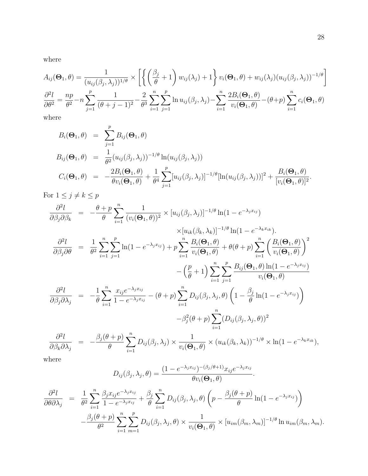where

$$
A_{ij}(\Theta_1, \theta) = \frac{1}{(u_{ij}(\beta_j, \lambda_j))^{1/\theta}} \times \left[ \left\{ \left( \frac{\beta_j}{\theta} + 1 \right) w_{ij}(\lambda_j) + 1 \right\} v_i(\Theta_1, \theta) + w_{ij}(\lambda_j) (u_{ij}(\beta_j, \lambda_j))^{-1/\theta} \right]
$$
  

$$
\frac{\partial^2 l}{\partial \theta^2} = \frac{np}{\theta^2} - n \sum_{j=1}^p \frac{1}{(\theta + j - 1)^2} - \frac{2}{\theta^3} \sum_{i=1}^n \sum_{j=1}^p \ln u_{ij}(\beta_j, \lambda_j) - \sum_{i=1}^n \frac{2B_i(\Theta_1, \theta)}{v_i(\Theta_1, \theta)} - (\theta + p) \sum_{i=1}^n c_i(\Theta_1, \theta)
$$
  
where

where

$$
B_i(\Theta_1, \theta) = \sum_{j=1}^p B_{ij}(\Theta_1, \theta)
$$
  
\n
$$
B_{ij}(\Theta_1, \theta) = \frac{1}{\theta^2} (u_{ij}(\beta_j, \lambda_j))^{-1/\theta} \ln(u_{ij}(\beta_j, \lambda_j))
$$
  
\n
$$
C_i(\Theta_1, \theta) = -\frac{2B_i(\Theta_1, \theta)}{\theta v_i(\Theta_1, \theta)} + \frac{1}{\theta^4} \sum_{j=1}^p [u_{ij}(\beta_j, \lambda_j)]^{-1/\theta} [\ln(u_{ij}(\beta_j, \lambda_j))]^2 + \frac{B_i(\Theta_1, \theta)}{[v_i(\Theta_1, \theta)]^2}.
$$

For  $1\leq j\neq k\leq p$ 

$$
\frac{\partial^2 l}{\partial \beta_j \partial \beta_k} = -\frac{\theta + p}{\theta} \sum_{i=1}^n \frac{1}{(v_i(\Theta_1, \theta))^2} \times [u_{ij}(\beta_j, \lambda_j)]^{-1/\theta} \ln(1 - e^{-\lambda_j x_{ij}})
$$
  
\n
$$
\frac{\partial^2 l}{\partial \beta_j \partial \theta} = \frac{1}{\theta^2} \sum_{i=1}^n \sum_{j=1}^p \ln(1 - e^{-\lambda_j x_{ij}}) + p \sum_{i=1}^n \frac{B_i(\Theta_1, \theta)}{v_i(\Theta_1, \theta)} + \theta(\theta + p) \sum_{i=1}^n \left(\frac{B_i(\Theta_1, \theta)}{v_i(\Theta_1, \theta)}\right)^2
$$
  
\n
$$
-\left(\frac{p}{\theta} + 1\right) \sum_{i=1}^n \sum_{j=1}^p \frac{B_{ij}(\Theta_1, \theta) \ln(1 - e^{-\lambda_j x_{ij}})}{v_i(\Theta_1, \theta)}
$$
  
\n
$$
\frac{\partial^2 l}{\partial \beta_j \partial \lambda_j} = -\frac{1}{\theta} \sum_{i=1}^n \frac{x_{ij} e^{-\lambda_j x_{ij}}}{1 - e^{-\lambda_j x_{ij}}} - (\theta + p) \sum_{i=1}^n D_{ij}(\beta_j, \lambda_j, \theta) \left(1 - \frac{\beta_j}{\theta} \ln(1 - e^{-\lambda_j x_{ij}})\right)
$$
  
\n
$$
-\beta_j^2 (\theta + p) \sum_{i=1}^n (D_{ij}(\beta_j, \lambda_j, \theta))^2
$$

$$
\frac{\partial^2 l}{\partial \beta_k \partial \lambda_j} = -\frac{\beta_j(\theta + p)}{\theta} \sum_{i=1}^n D_{ij}(\beta_j, \lambda_j) \times \frac{1}{v_i(\Theta_1, \theta)} \times (u_{ik}(\beta_k, \lambda_k))^{-1/\theta} \times \ln(1 - e^{-\lambda_k x_{ik}}),
$$

where

$$
D_{ij}(\beta_j, \lambda_j, \theta) = \frac{(1 - e^{-\lambda_j x_{ij}})^{-(\beta_j/\theta + 1)} x_{ij} e^{-\lambda_j x_{ij}}}{\theta v_i(\Theta_1, \theta)}.
$$

$$
\frac{\partial^2 l}{\partial \theta \partial \lambda_j} = \frac{1}{\theta^2} \sum_{i=1}^n \frac{\beta_j x_{ij} e^{-\lambda_j x_{ij}}}{1 - e^{-\lambda_j x_{ij}}} + \frac{\beta_j}{\theta} \sum_{i=1}^n D_{ij}(\beta_j, \lambda_j, \theta) \left( p - \frac{\beta_j(\theta + p)}{\theta} \ln(1 - e^{-\lambda_j x_{ij}}) \right) \n- \frac{\beta_j(\theta + p)}{\theta^2} \sum_{i=1}^n \sum_{m=1}^p D_{ij}(\beta_j, \lambda_j, \theta) \times \frac{1}{v_i(\Theta_1, \theta)} \times [u_{im}(\beta_m, \lambda_m)]^{-1/\theta} \ln u_{im}(\beta_m, \lambda_m).
$$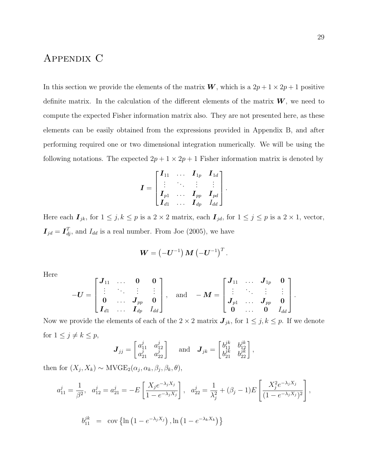# Appendix C

In this section we provide the elements of the matrix  $W$ , which is a  $2p + 1 \times 2p + 1$  positive definite matrix. In the calculation of the different elements of the matrix  $W$ , we need to compute the expected Fisher information matrix also. They are not presented here, as these elements can be easily obtained from the expressions provided in Appendix B, and after performing required one or two dimensional integration numerically. We will be using the following notations. The expected  $2p + 1 \times 2p + 1$  Fisher information matrix is denoted by

$$
\boldsymbol{I} = \begin{bmatrix} \boldsymbol{I}_{11} & \ldots & \boldsymbol{I}_{1p} & \boldsymbol{I}_{1d} \\ \vdots & \ddots & \vdots & \vdots \\ \boldsymbol{I}_{p1} & \ldots & \boldsymbol{I}_{pp} & \boldsymbol{I}_{pd} \\ \boldsymbol{I}_{d1} & \ldots & \boldsymbol{I}_{dp} & \boldsymbol{I}_{dd} \end{bmatrix}
$$

.

Here each  $\mathbf{I}_{jk}$ , for  $1 \leq j, k \leq p$  is a  $2 \times 2$  matrix, each  $\mathbf{I}_{jd}$ , for  $1 \leq j \leq p$  is a  $2 \times 1$ , vector,  $I_{jd} = I_{dj}^T$ , and  $I_{dd}$  is a real number. From Joe (2005), we have

$$
\boldsymbol{W}=\left(\boldsymbol{-\boldsymbol{U}}^{-1}\right)\boldsymbol{M}\left(\boldsymbol{-\boldsymbol{U}}^{-1}\right)^T.
$$

Here

$$
-U = \begin{bmatrix} J_{11} & \ldots & 0 & 0 \\ \vdots & \ddots & \vdots & \vdots \\ 0 & \ldots & J_{pp} & 0 \\ I_{d1} & \ldots & I_{dp} & I_{dd} \end{bmatrix}, \text{ and } -M = \begin{bmatrix} J_{11} & \ldots & J_{1p} & 0 \\ \vdots & \ddots & \vdots & \vdots \\ J_{p1} & \ldots & J_{pp} & 0 \\ 0 & \ldots & 0 & I_{dd} \end{bmatrix}.
$$

Now we provide the elements of each of the  $2 \times 2$  matrix  $J_{jk}$ , for  $1 \leq j, k \leq p$ . If we denote for  $1 \leq j \neq k \leq p$ ,

$$
\boldsymbol{J}_{jj} = \begin{bmatrix} a_{11}^j & a_{12}^j \\ a_{21}^j & a_{22}^j \end{bmatrix} \text{ and } \boldsymbol{J}_{jk} = \begin{bmatrix} b_{11}^{jk} & b_{12}^{jk} \\ b_{21}^{jk} & b_{22}^{jk} \end{bmatrix},
$$

then for  $(X_j, X_k) \sim \text{MVGE}_2(\alpha_j, \alpha_k, \beta_j, \beta_k, \theta),$ 

$$
a_{11}^{j} = \frac{1}{\beta^{2}}, \quad a_{12}^{j} = a_{21}^{j} = -E\left[\frac{X_{j}e^{-\lambda_{j}X_{j}}}{1 - e^{-\lambda_{j}X_{j}}}\right], \quad a_{22}^{j} = \frac{1}{\lambda_{j}^{2}} + (\beta_{j} - 1)E\left[\frac{X_{j}^{2}e^{-\lambda_{j}X_{j}}}{(1 - e^{-\lambda_{j}X_{j}})^{2}}\right],
$$

$$
b_{11}^{jk} = \text{cov}\left\{\ln\left(1 - e^{-\lambda_{j}X_{j}}\right), \ln\left(1 - e^{-\lambda_{k}X_{k}}\right)\right\}
$$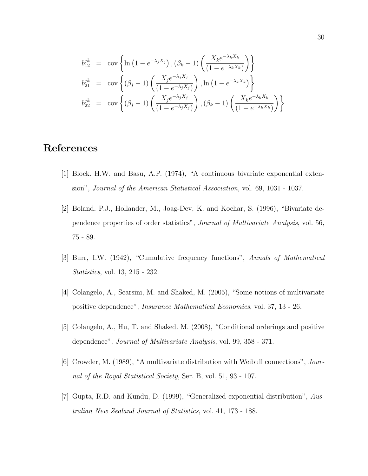$$
b_{12}^{jk} = \text{cov}\left\{\ln\left(1 - e^{-\lambda_j X_j}\right), (\beta_k - 1)\left(\frac{X_k e^{-\lambda_k X_k}}{(1 - e^{-\lambda_k X_k})}\right)\right\}
$$
  
\n
$$
b_{21}^{jk} = \text{cov}\left\{(\beta_j - 1)\left(\frac{X_j e^{-\lambda_j X_j}}{(1 - e^{-\lambda_j X_j})}\right), \ln\left(1 - e^{-\lambda_k X_k}\right)\right\}
$$
  
\n
$$
b_{22}^{jk} = \text{cov}\left\{(\beta_j - 1)\left(\frac{X_j e^{-\lambda_j X_j}}{(1 - e^{-\lambda_j X_j})}\right), (\beta_k - 1)\left(\frac{X_k e^{-\lambda_k X_k}}{(1 - e^{-\lambda_k X_k})}\right)\right\}
$$

# References

- [1] Block. H.W. and Basu, A.P. (1974), "A continuous bivariate exponential extension", Journal of the American Statistical Association, vol. 69, 1031 - 1037.
- [2] Boland, P.J., Hollander, M., Joag-Dev, K. and Kochar, S. (1996), "Bivariate dependence properties of order statistics", Journal of Multivariate Analysis, vol. 56, 75 - 89.
- [3] Burr, I.W. (1942), "Cumulative frequency functions", Annals of Mathematical Statistics, vol. 13, 215 - 232.
- [4] Colangelo, A., Scarsini, M. and Shaked, M. (2005), "Some notions of multivariate positive dependence", Insurance Mathematical Economics, vol. 37, 13 - 26.
- [5] Colangelo, A., Hu, T. and Shaked. M. (2008), "Conditional orderings and positive dependence", Journal of Multivariate Analysis, vol. 99, 358 - 371.
- [6] Crowder, M. (1989), "A multivariate distribution with Weibull connections", Journal of the Royal Statistical Society, Ser. B, vol. 51, 93 - 107.
- [7] Gupta, R.D. and Kundu, D. (1999), "Generalized exponential distribution", Australian New Zealand Journal of Statistics, vol. 41, 173 - 188.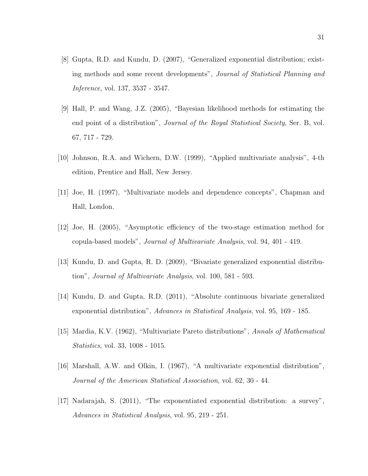- [8] Gupta, R.D. and Kundu, D. (2007), "Generalized exponential distribution; existing methods and some recent developments", Journal of Statistical Planning and Inference, vol. 137, 3537 - 3547.
- [9] Hall, P. and Wang, J.Z. (2005), "Bayesian likelihood methods for estimating the end point of a distribution", *Journal of the Royal Statistical Society*, Ser. B, vol. 67, 717 - 729.
- [10] Johnson, R.A. and Wichern, D.W. (1999), "Applied multivariate analysis", 4-th edition, Prentice and Hall, New Jersey.
- [11] Joe, H. (1997), "Multivariate models and dependence concepts", Chapman and Hall, London.
- [12] Joe, H. (2005), "Asymptotic efficiency of the two-stage estimation method for copula-based models", Journal of Multivariate Analysis, vol. 94, 401 - 419.
- [13] Kundu, D. and Gupta, R. D. (2009), "Bivariate generalized exponential distribution", Journal of Multivariate Analysis, vol. 100, 581 - 593.
- [14] Kundu, D. and Gupta, R.D. (2011), "Absolute continuous bivariate generalized exponential distribution", Advances in Statistical Analysis, vol. 95, 169 - 185.
- [15] Mardia, K.V. (1962), "Multivariate Pareto distributions", Annals of Mathematical Statistics, vol. 33, 1008 - 1015.
- [16] Marshall, A.W. and Olkin, I. (1967), "A multivariate exponential distribution", Journal of the American Statistical Association, vol. 62, 30 - 44.
- [17] Nadarajah, S. (2011), "The exponentiated exponential distribution: a survey", Advances in Statistical Analysis, vol. 95, 219 - 251.